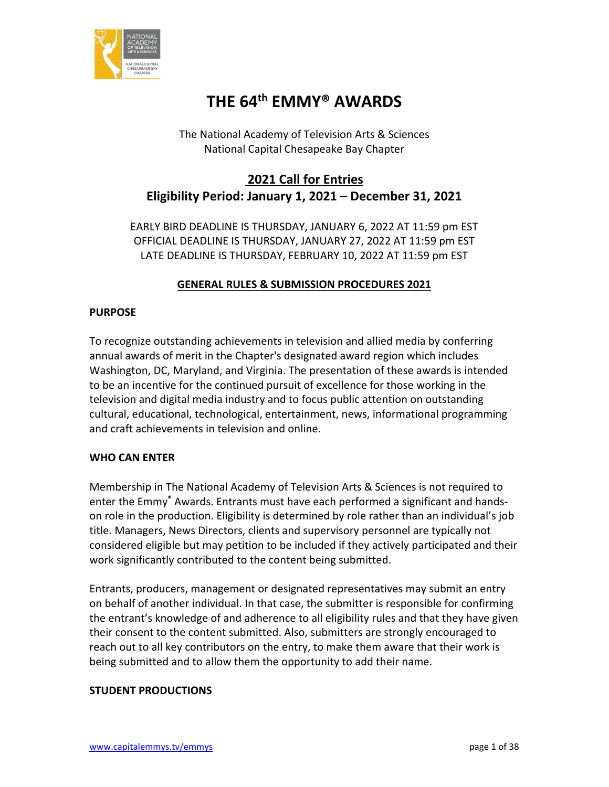

# **THE 64th EMMY® AWARDS**

The National Academy of Television Arts & Sciences National Capital Chesapeake Bay Chapter

# **2021 Call for Entries Eligibility Period: January 1, 2021 – December 31, 2021**

EARLY BIRD DEADLINE IS THURSDAY, JANUARY 6, 2022 AT 11:59 pm EST OFFICIAL DEADLINE IS THURSDAY, JANUARY 27, 2022 AT 11:59 pm EST LATE DEADLINE IS THURSDAY, FEBRUARY 10, 2022 AT 11:59 pm EST

# **GENERAL RULES & SUBMISSION PROCEDURES 2021**

# **PURPOSE**

To recognize outstanding achievements in television and allied media by conferring annual awards of merit in the Chapter's designated award region which includes Washington, DC, Maryland, and Virginia. The presentation of these awards is intended to be an incentive for the continued pursuit of excellence for those working in the television and digital media industry and to focus public attention on outstanding cultural, educational, technological, entertainment, news, informational programming and craft achievements in television and online.

# **WHO CAN ENTER**

Membership in The National Academy of Television Arts & Sciences is not required to enter the Emmy**®** Awards. Entrants must have each performed a significant and handson role in the production. Eligibility is determined by role rather than an individual's job title. Managers, News Directors, clients and supervisory personnel are typically not considered eligible but may petition to be included if they actively participated and their work significantly contributed to the content being submitted.

Entrants, producers, management or designated representatives may submit an entry on behalf of another individual. In that case, the submitter is responsible for confirming the entrant's knowledge of and adherence to all eligibility rules and that they have given their consent to the content submitted. Also, submitters are strongly encouraged to reach out to all key contributors on the entry, to make them aware that their work is being submitted and to allow them the opportunity to add their name.

# **STUDENT PRODUCTIONS**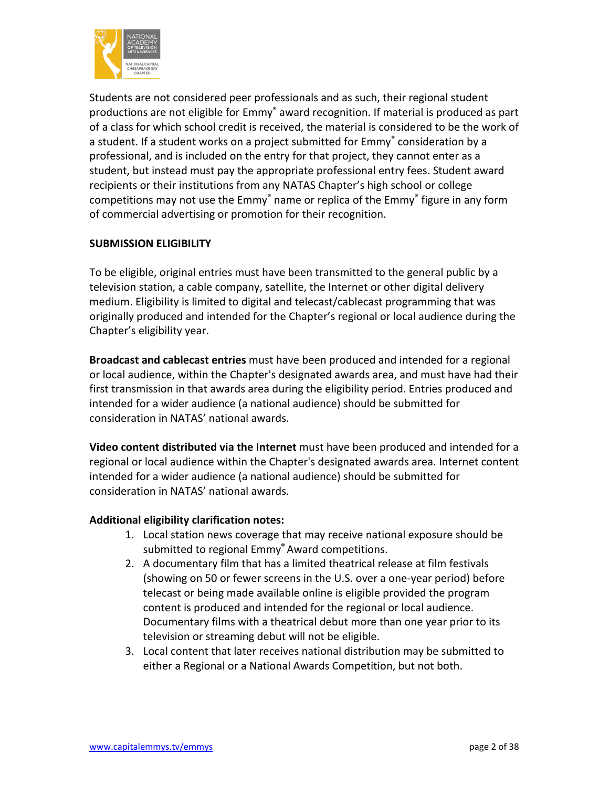

Students are not considered peer professionals and as such, their regional student productions are not eligible for Emmy<sup>®</sup> award recognition. If material is produced as part of a class for which school credit is received, the material is considered to be the work of a student. If a student works on a project submitted for Emmy<sup>®</sup> consideration by a professional, and is included on the entry for that project, they cannot enter as a student, but instead must pay the appropriate professional entry fees. Student award recipients or their institutions from any NATAS Chapter's high school or college competitions may not use the Emmy<sup>®</sup> name or replica of the Emmy<sup>®</sup> figure in any form of commercial advertising or promotion for their recognition.

# **SUBMISSION ELIGIBILITY**

To be eligible, original entries must have been transmitted to the general public by a television station, a cable company, satellite, the Internet or other digital delivery medium. Eligibility is limited to digital and telecast/cablecast programming that was originally produced and intended for the Chapter's regional or local audience during the Chapter's eligibility year.

**Broadcast and cablecast entries** must have been produced and intended for a regional or local audience, within the Chapter's designated awards area, and must have had their first transmission in that awards area during the eligibility period. Entries produced and intended for a wider audience (a national audience) should be submitted for consideration in NATAS' national awards.

**Video content distributed via the Internet** must have been produced and intended for a regional or local audience within the Chapter's designated awards area. Internet content intended for a wider audience (a national audience) should be submitted for consideration in NATAS' national awards.

# **Additional eligibility clarification notes:**

- 1. Local station news coverage that may receive national exposure should be submitted to regional Emmy**®** Award competitions.
- 2. A documentary film that has a limited theatrical release at film festivals (showing on 50 or fewer screens in the U.S. over a one-year period) before telecast or being made available online is eligible provided the program content is produced and intended for the regional or local audience. Documentary films with a theatrical debut more than one year prior to its television or streaming debut will not be eligible.
- 3. Local content that later receives national distribution may be submitted to either a Regional or a National Awards Competition, but not both.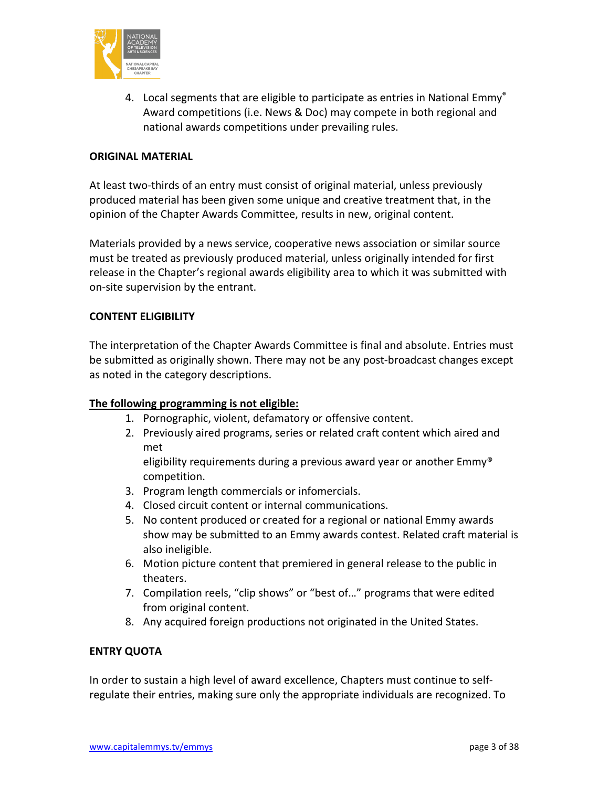

4. Local segments that are eligible to participate as entries in National Emmy**®**  Award competitions (i.e. News & Doc) may compete in both regional and national awards competitions under prevailing rules.

# **ORIGINAL MATERIAL**

At least two-thirds of an entry must consist of original material, unless previously produced material has been given some unique and creative treatment that, in the opinion of the Chapter Awards Committee, results in new, original content.

Materials provided by a news service, cooperative news association or similar source must be treated as previously produced material, unless originally intended for first release in the Chapter's regional awards eligibility area to which it was submitted with on-site supervision by the entrant.

### **CONTENT ELIGIBILITY**

The interpretation of the Chapter Awards Committee is final and absolute. Entries must be submitted as originally shown. There may not be any post-broadcast changes except as noted in the category descriptions.

# **The following programming is not eligible:**

- 1. Pornographic, violent, defamatory or offensive content.
- 2. Previously aired programs, series or related craft content which aired and met

eligibility requirements during a previous award year or another Emmy® competition.

- 3. Program length commercials or infomercials.
- 4. Closed circuit content or internal communications.
- 5. No content produced or created for a regional or national Emmy awards show may be submitted to an Emmy awards contest. Related craft material is also ineligible.
- 6. Motion picture content that premiered in general release to the public in theaters.
- 7. Compilation reels, "clip shows" or "best of…" programs that were edited from original content.
- 8. Any acquired foreign productions not originated in the United States.

#### **ENTRY QUOTA**

In order to sustain a high level of award excellence, Chapters must continue to selfregulate their entries, making sure only the appropriate individuals are recognized. To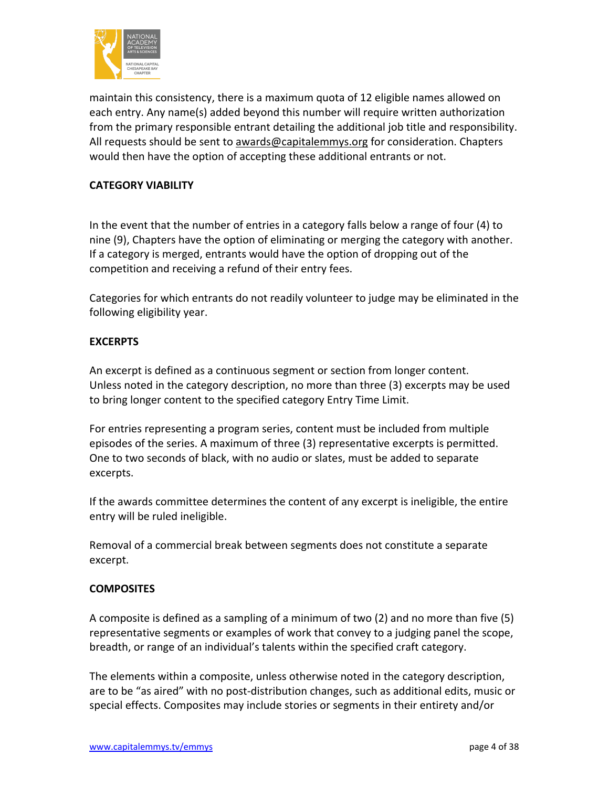

maintain this consistency, there is a maximum quota of 12 eligible names allowed on each entry. Any name(s) added beyond this number will require written authorization from the primary responsible entrant detailing the additional job title and responsibility. All requests should be sent to [awards@capitalemmys.org](mailto:awards@capitalemmys.org) for consideration. Chapters would then have the option of accepting these additional entrants or not.

# **CATEGORY VIABILITY**

In the event that the number of entries in a category falls below a range of four (4) to nine (9), Chapters have the option of eliminating or merging the category with another. If a category is merged, entrants would have the option of dropping out of the competition and receiving a refund of their entry fees.

Categories for which entrants do not readily volunteer to judge may be eliminated in the following eligibility year.

# **EXCERPTS**

An excerpt is defined as a continuous segment or section from longer content. Unless noted in the category description, no more than three (3) excerpts may be used to bring longer content to the specified category Entry Time Limit.

For entries representing a program series, content must be included from multiple episodes of the series. A maximum of three (3) representative excerpts is permitted. One to two seconds of black, with no audio or slates, must be added to separate excerpts.

If the awards committee determines the content of any excerpt is ineligible, the entire entry will be ruled ineligible.

Removal of a commercial break between segments does not constitute a separate excerpt.

# **COMPOSITES**

A composite is defined as a sampling of a minimum of two (2) and no more than five (5) representative segments or examples of work that convey to a judging panel the scope, breadth, or range of an individual's talents within the specified craft category.

The elements within a composite, unless otherwise noted in the category description, are to be "as aired" with no post-distribution changes, such as additional edits, music or special effects. Composites may include stories or segments in their entirety and/or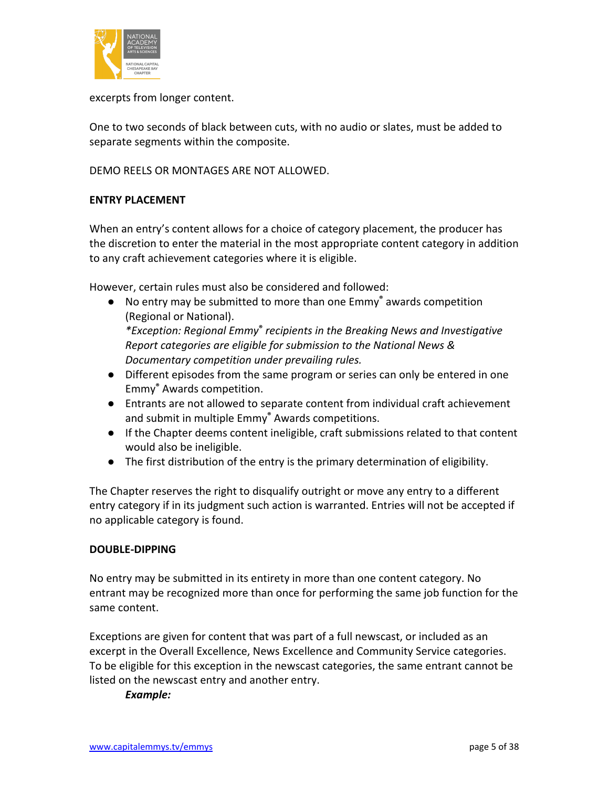

excerpts from longer content.

One to two seconds of black between cuts, with no audio or slates, must be added to separate segments within the composite.

DEMO REELS OR MONTAGES ARE NOT ALLOWED.

# **ENTRY PLACEMENT**

When an entry's content allows for a choice of category placement, the producer has the discretion to enter the material in the most appropriate content category in addition to any craft achievement categories where it is eligible.

However, certain rules must also be considered and followed:

- No entry may be submitted to more than one Emmy**®** awards competition (Regional or National). *\*Exception: Regional Emmy***®** *recipients in the Breaking News and Investigative Report categories are eligible for submission to the National News & Documentary competition under prevailing rules.*
- Different episodes from the same program or series can only be entered in one Emmy**®** Awards competition.
- Entrants are not allowed to separate content from individual craft achievement and submit in multiple Emmy**®** Awards competitions.
- If the Chapter deems content ineligible, craft submissions related to that content would also be ineligible.
- The first distribution of the entry is the primary determination of eligibility.

The Chapter reserves the right to disqualify outright or move any entry to a different entry category if in its judgment such action is warranted. Entries will not be accepted if no applicable category is found.

#### **DOUBLE-DIPPING**

No entry may be submitted in its entirety in more than one content category. No entrant may be recognized more than once for performing the same job function for the same content.

Exceptions are given for content that was part of a full newscast, or included as an excerpt in the Overall Excellence, News Excellence and Community Service categories. To be eligible for this exception in the newscast categories, the same entrant cannot be listed on the newscast entry and another entry.

*Example:*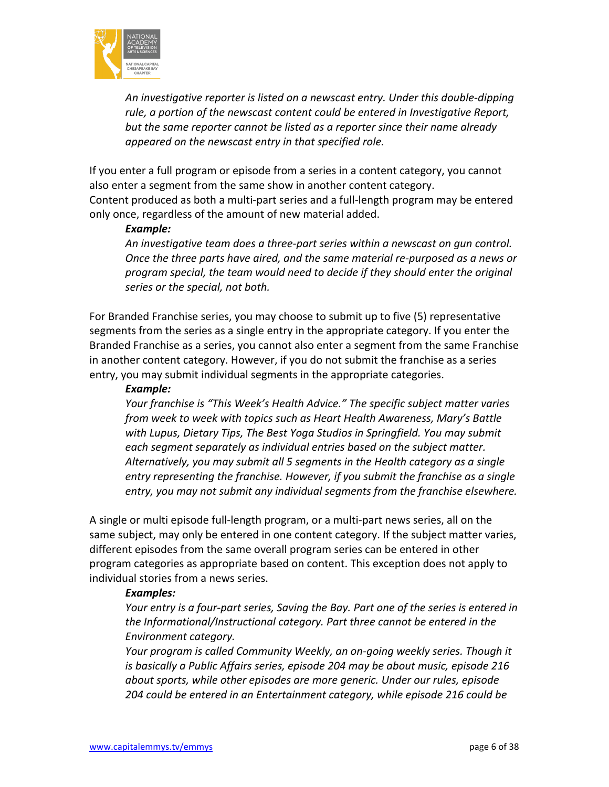

*An investigative reporter is listed on a newscast entry. Under this double-dipping rule, a portion of the newscast content could be entered in Investigative Report, but the same reporter cannot be listed as a reporter since their name already appeared on the newscast entry in that specified role.*

If you enter a full program or episode from a series in a content category, you cannot also enter a segment from the same show in another content category. Content produced as both a multi-part series and a full-length program may be entered only once, regardless of the amount of new material added.

#### *Example:*

*An investigative team does a three-part series within a newscast on gun control. Once the three parts have aired, and the same material re-purposed as a news or program special, the team would need to decide if they should enter the original series or the special, not both.*

For Branded Franchise series, you may choose to submit up to five (5) representative segments from the series as a single entry in the appropriate category. If you enter the Branded Franchise as a series, you cannot also enter a segment from the same Franchise in another content category. However, if you do not submit the franchise as a series entry, you may submit individual segments in the appropriate categories.

### *Example:*

*Your franchise is "This Week's Health Advice." The specific subject matter varies from week to week with topics such as Heart Health Awareness, Mary's Battle with Lupus, Dietary Tips, The Best Yoga Studios in Springfield. You may submit each segment separately as individual entries based on the subject matter. Alternatively, you may submit all 5 segments in the Health category as a single entry representing the franchise. However, if you submit the franchise as a single entry, you may not submit any individual segments from the franchise elsewhere.* 

A single or multi episode full-length program, or a multi-part news series, all on the same subject, may only be entered in one content category. If the subject matter varies, different episodes from the same overall program series can be entered in other program categories as appropriate based on content. This exception does not apply to individual stories from a news series.

#### *Examples:*

*Your entry is a four-part series, Saving the Bay. Part one of the series is entered in the Informational/Instructional category. Part three cannot be entered in the Environment category.*

*Your program is called Community Weekly, an on-going weekly series. Though it is basically a Public Affairs series, episode 204 may be about music, episode 216 about sports, while other episodes are more generic. Under our rules, episode 204 could be entered in an Entertainment category, while episode 216 could be*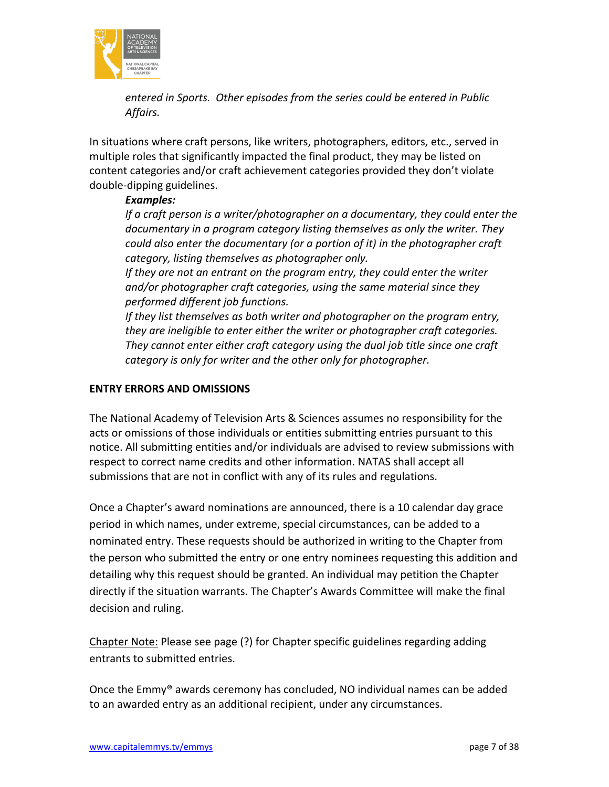

*entered in Sports. Other episodes from the series could be entered in Public Affairs.*

In situations where craft persons, like writers, photographers, editors, etc., served in multiple roles that significantly impacted the final product, they may be listed on content categories and/or craft achievement categories provided they don't violate double-dipping guidelines.

# *Examples:*

*If a craft person is a writer/photographer on a documentary, they could enter the documentary in a program category listing themselves as only the writer. They could also enter the documentary (or a portion of it) in the photographer craft category, listing themselves as photographer only.*

*If they are not an entrant on the program entry, they could enter the writer and/or photographer craft categories, using the same material since they performed different job functions.*

*If they list themselves as both writer and photographer on the program entry, they are ineligible to enter either the writer or photographer craft categories. They cannot enter either craft category using the dual job title since one craft category is only for writer and the other only for photographer.*

# **ENTRY ERRORS AND OMISSIONS**

The National Academy of Television Arts & Sciences assumes no responsibility for the acts or omissions of those individuals or entities submitting entries pursuant to this notice. All submitting entities and/or individuals are advised to review submissions with respect to correct name credits and other information. NATAS shall accept all submissions that are not in conflict with any of its rules and regulations.

Once a Chapter's award nominations are announced, there is a 10 calendar day grace period in which names, under extreme, special circumstances, can be added to a nominated entry. These requests should be authorized in writing to the Chapter from the person who submitted the entry or one entry nominees requesting this addition and detailing why this request should be granted. An individual may petition the Chapter directly if the situation warrants. The Chapter's Awards Committee will make the final decision and ruling.

Chapter Note: Please see page (?) for Chapter specific guidelines regarding adding entrants to submitted entries.

Once the Emmy® awards ceremony has concluded, NO individual names can be added to an awarded entry as an additional recipient, under any circumstances.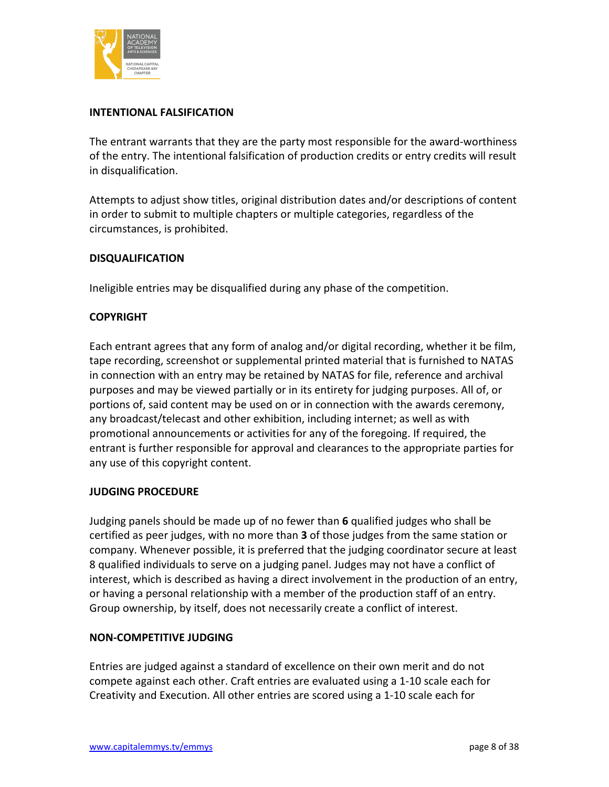

# **INTENTIONAL FALSIFICATION**

The entrant warrants that they are the party most responsible for the award-worthiness of the entry. The intentional falsification of production credits or entry credits will result in disqualification.

Attempts to adjust show titles, original distribution dates and/or descriptions of content in order to submit to multiple chapters or multiple categories, regardless of the circumstances, is prohibited.

# **DISQUALIFICATION**

Ineligible entries may be disqualified during any phase of the competition.

# **COPYRIGHT**

Each entrant agrees that any form of analog and/or digital recording, whether it be film, tape recording, screenshot or supplemental printed material that is furnished to NATAS in connection with an entry may be retained by NATAS for file, reference and archival purposes and may be viewed partially or in its entirety for judging purposes. All of, or portions of, said content may be used on or in connection with the awards ceremony, any broadcast/telecast and other exhibition, including internet; as well as with promotional announcements or activities for any of the foregoing. If required, the entrant is further responsible for approval and clearances to the appropriate parties for any use of this copyright content.

# **JUDGING PROCEDURE**

Judging panels should be made up of no fewer than **6** qualified judges who shall be certified as peer judges, with no more than **3** of those judges from the same station or company. Whenever possible, it is preferred that the judging coordinator secure at least 8 qualified individuals to serve on a judging panel. Judges may not have a conflict of interest, which is described as having a direct involvement in the production of an entry, or having a personal relationship with a member of the production staff of an entry. Group ownership, by itself, does not necessarily create a conflict of interest.

# **NON-COMPETITIVE JUDGING**

Entries are judged against a standard of excellence on their own merit and do not compete against each other. Craft entries are evaluated using a 1-10 scale each for Creativity and Execution. All other entries are scored using a 1-10 scale each for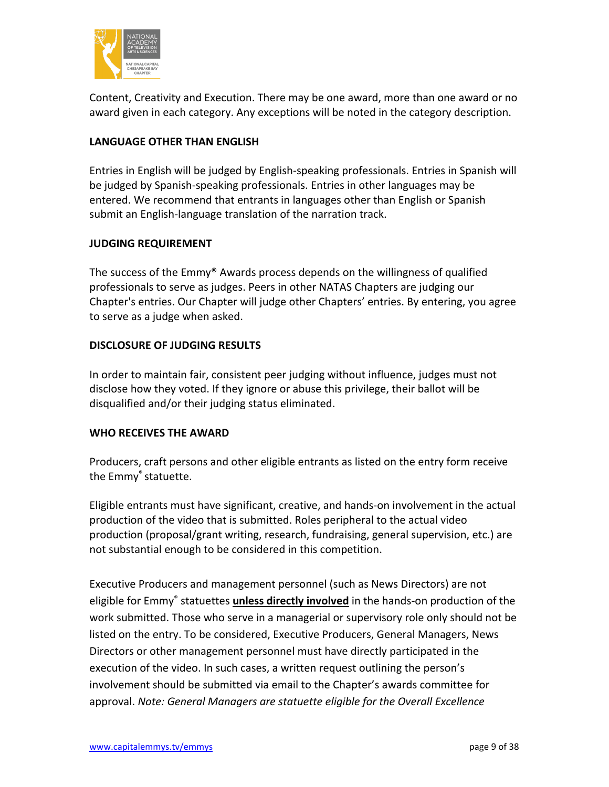

Content, Creativity and Execution. There may be one award, more than one award or no award given in each category. Any exceptions will be noted in the category description.

# **LANGUAGE OTHER THAN ENGLISH**

Entries in English will be judged by English-speaking professionals. Entries in Spanish will be judged by Spanish-speaking professionals. Entries in other languages may be entered. We recommend that entrants in languages other than English or Spanish submit an English-language translation of the narration track.

# **JUDGING REQUIREMENT**

The success of the Emmy® Awards process depends on the willingness of qualified professionals to serve as judges. Peers in other NATAS Chapters are judging our Chapter's entries. Our Chapter will judge other Chapters' entries. By entering, you agree to serve as a judge when asked.

### **DISCLOSURE OF JUDGING RESULTS**

In order to maintain fair, consistent peer judging without influence, judges must not disclose how they voted. If they ignore or abuse this privilege, their ballot will be disqualified and/or their judging status eliminated.

#### **WHO RECEIVES THE AWARD**

Producers, craft persons and other eligible entrants as listed on the entry form receive the Emmy**®** statuette.

Eligible entrants must have significant, creative, and hands-on involvement in the actual production of the video that is submitted. Roles peripheral to the actual video production (proposal/grant writing, research, fundraising, general supervision, etc.) are not substantial enough to be considered in this competition.

Executive Producers and management personnel (such as News Directors) are not eligible for Emmy® statuettes **unless directly involved** in the hands-on production of the work submitted. Those who serve in a managerial or supervisory role only should not be listed on the entry. To be considered, Executive Producers, General Managers, News Directors or other management personnel must have directly participated in the execution of the video. In such cases, a written request outlining the person's involvement should be submitted via email to the Chapter's awards committee for approval. *Note: General Managers are statuette eligible for the Overall Excellence*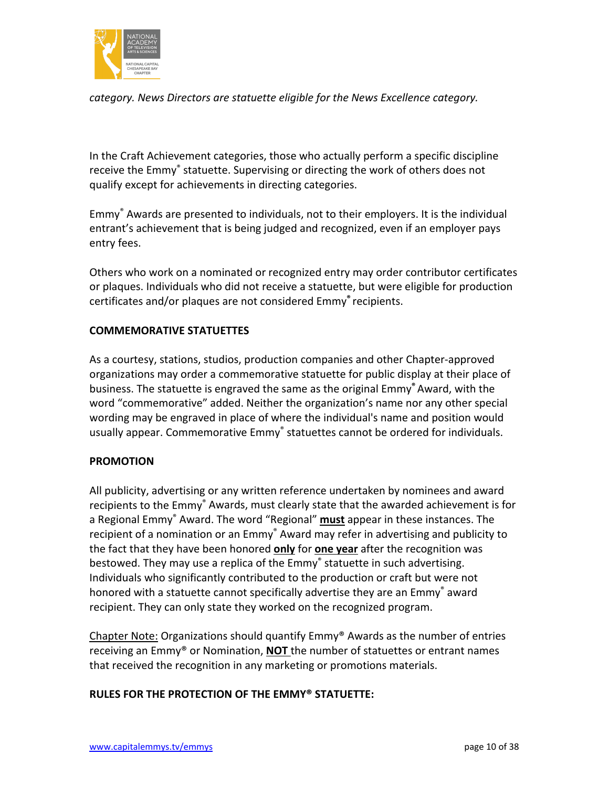

*category. News Directors are statuette eligible for the News Excellence category.*

In the Craft Achievement categories, those who actually perform a specific discipline receive the Emmy® statuette. Supervising or directing the work of others does not qualify except for achievements in directing categories.

Emmy® Awards are presented to individuals, not to their employers. It is the individual entrant's achievement that is being judged and recognized, even if an employer pays entry fees.

Others who work on a nominated or recognized entry may order contributor certificates or plaques. Individuals who did not receive a statuette, but were eligible for production certificates and/or plaques are not considered Emmy**®** recipients.

# **COMMEMORATIVE STATUETTES**

As a courtesy, stations, studios, production companies and other Chapter-approved organizations may order a commemorative statuette for public display at their place of business. The statuette is engraved the same as the original Emmy**®** Award, with the word "commemorative" added. Neither the organization's name nor any other special wording may be engraved in place of where the individual's name and position would usually appear. Commemorative Emmy® statuettes cannot be ordered for individuals.

# **PROMOTION**

All publicity, advertising or any written reference undertaken by nominees and award recipients to the Emmy<sup>®</sup> Awards, must clearly state that the awarded achievement is for a Regional Emmy® Award. The word "Regional" **must** appear in these instances. The recipient of a nomination or an Emmy<sup>®</sup> Award may refer in advertising and publicity to the fact that they have been honored **only** for **one year** after the recognition was bestowed. They may use a replica of the Emmy® statuette in such advertising. Individuals who significantly contributed to the production or craft but were not honored with a statuette cannot specifically advertise they are an Emmy<sup>®</sup> award recipient. They can only state they worked on the recognized program.

Chapter Note: Organizations should quantify  $Emmy^{\circ}$  Awards as the number of entries receiving an Emmy® or Nomination, **NOT** the number of statuettes or entrant names that received the recognition in any marketing or promotions materials.

# **RULES FOR THE PROTECTION OF THE EMMY® STATUETTE:**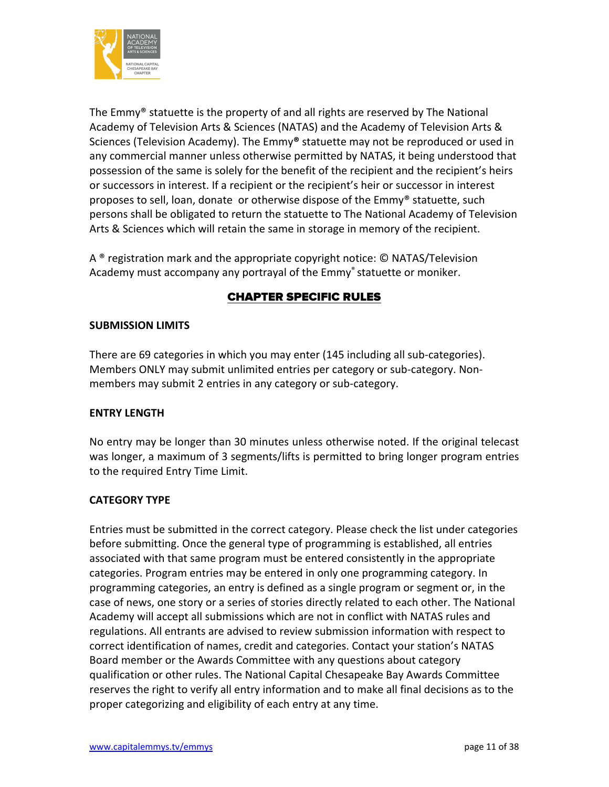

The Emmy® statuette is the property of and all rights are reserved by The National Academy of Television Arts & Sciences (NATAS) and the Academy of Television Arts & Sciences (Television Academy). The Emmy**®** statuette may not be reproduced or used in any commercial manner unless otherwise permitted by NATAS, it being understood that possession of the same is solely for the benefit of the recipient and the recipient's heirs or successors in interest. If a recipient or the recipient's heir or successor in interest proposes to sell, loan, donate or otherwise dispose of the Emmy® statuette, such persons shall be obligated to return the statuette to The National Academy of Television Arts & Sciences which will retain the same in storage in memory of the recipient.

A ® registration mark and the appropriate copyright notice: © NATAS/Television Academy must accompany any portrayal of the Emmy<sup>®</sup> statuette or moniker.

# CHAPTER SPECIFIC RULES

# **SUBMISSION LIMITS**

There are 69 categories in which you may enter (145 including all sub-categories). Members ONLY may submit unlimited entries per category or sub-category. Nonmembers may submit 2 entries in any category or sub-category.

# **ENTRY LENGTH**

No entry may be longer than 30 minutes unless otherwise noted. If the original telecast was longer, a maximum of 3 segments/lifts is permitted to bring longer program entries to the required Entry Time Limit.

# **CATEGORY TYPE**

Entries must be submitted in the correct category. Please check the list under categories before submitting. Once the general type of programming is established, all entries associated with that same program must be entered consistently in the appropriate categories. Program entries may be entered in only one programming category. In programming categories, an entry is defined as a single program or segment or, in the case of news, one story or a series of stories directly related to each other. The National Academy will accept all submissions which are not in conflict with NATAS rules and regulations. All entrants are advised to review submission information with respect to correct identification of names, credit and categories. Contact your station's NATAS Board member or the Awards Committee with any questions about category qualification or other rules. The National Capital Chesapeake Bay Awards Committee reserves the right to verify all entry information and to make all final decisions as to the proper categorizing and eligibility of each entry at any time.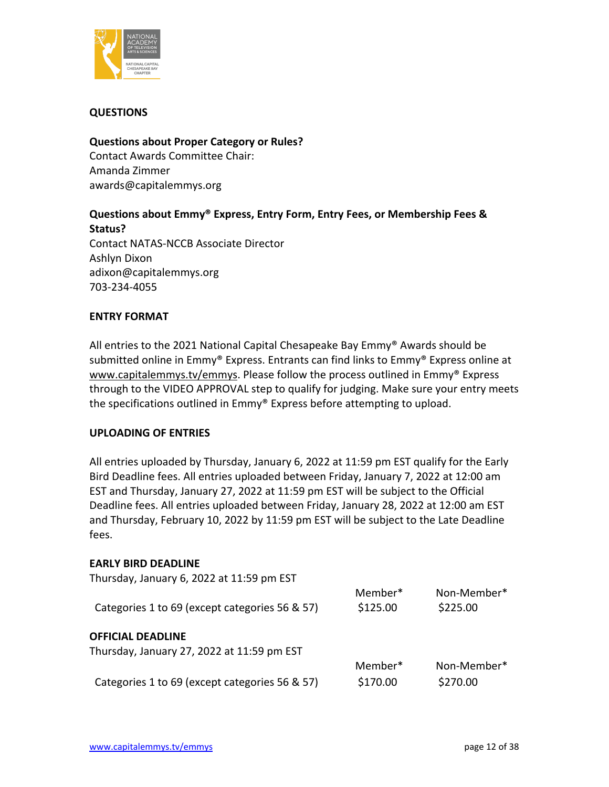

# **QUESTIONS**

#### **Questions about Proper Category or Rules?**

Contact Awards Committee Chair: Amanda Zimmer [awards@capitalemmys.org](mailto:awards@capitalemmys.org) 

# **Questions about Emmy® Express, Entry Form, Entry Fees, or Membership Fees & Status?**

Contact NATAS-NCCB Associate Director Ashlyn Dixon adixon@capitalemmys.org 703-234-4055

#### **ENTRY FORMAT**

All entries to the 2021 National Capital Chesapeake Bay Emmy® Awards should be submitted online in Emmy® Express. Entrants can find links to Emmy® Express online at [www.capitalemmys.tv/](http://www.capitalemmys.tv/)emmys. Please follow the process outlined in Emmy® Express through to the VIDEO APPROVAL step to qualify for judging. Make sure your entry meets the specifications outlined in Emmy® Express before attempting to upload.

#### **UPLOADING OF ENTRIES**

All entries uploaded by Thursday, January 6, 2022 at 11:59 pm EST qualify for the Early Bird Deadline fees. All entries uploaded between Friday, January 7, 2022 at 12:00 am EST and Thursday, January 27, 2022 at 11:59 pm EST will be subject to the Official Deadline fees. All entries uploaded between Friday, January 28, 2022 at 12:00 am EST and Thursday, February 10, 2022 by 11:59 pm EST will be subject to the Late Deadline fees.

#### **EARLY BIRD DEADLINE**

| Thursday, January 6, 2022 at 11:59 pm EST      |          |             |
|------------------------------------------------|----------|-------------|
|                                                | Member*  | Non-Member* |
| Categories 1 to 69 (except categories 56 & 57) | \$125.00 | \$225.00    |
| <b>OFFICIAL DEADLINE</b>                       |          |             |
| Thursday, January 27, 2022 at 11:59 pm EST     |          |             |
|                                                |          |             |
|                                                | Member*  | Non-Member* |
| Categories 1 to 69 (except categories 56 & 57) | \$170.00 | \$270.00    |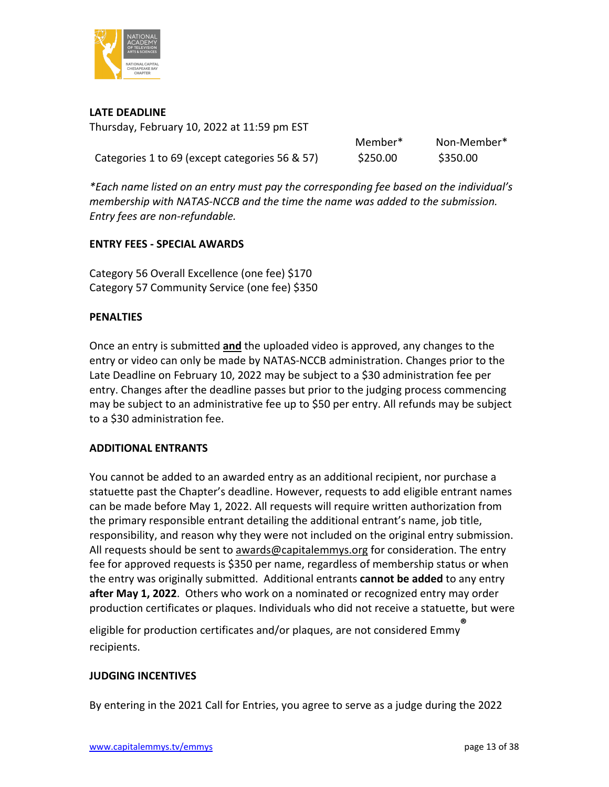

**LATE DEADLINE**

Thursday, February 10, 2022 at 11:59 pm EST

Categories 1 to 69 (except categories 56 & 57) \$250.00 \$350.00

Member\* Non-Member\*

*\*Each name listed on an entry must pay the corresponding fee based on the individual's membership with NATAS-NCCB and the time the name was added to the submission. Entry fees are non-refundable.*

# **ENTRY FEES - SPECIAL AWARDS**

Category 56 Overall Excellence (one fee) \$170 Category 57 Community Service (one fee) \$350

# **PENALTIES**

Once an entry is submitted **and** the uploaded video is approved, any changes to the entry or video can only be made by NATAS-NCCB administration. Changes prior to the Late Deadline on February 10, 2022 may be subject to a \$30 administration fee per entry. Changes after the deadline passes but prior to the judging process commencing may be subject to an administrative fee up to \$50 per entry. All refunds may be subject to a \$30 administration fee.

# **ADDITIONAL ENTRANTS**

You cannot be added to an awarded entry as an additional recipient, nor purchase a statuette past the Chapter's deadline. However, requests to add eligible entrant names can be made before May 1, 2022. All requests will require written authorization from the primary responsible entrant detailing the additional entrant's name, job title, responsibility, and reason why they were not included on the original entry submission. All requests should be sent to [awards@capitalemmys.org](mailto:awards@capitalemmys.org) for consideration. The entry fee for approved requests is \$350 per name, regardless of membership status or when the entry was originally submitted. Additional entrants **cannot be added** to any entry **after May 1, 2022**. Others who work on a nominated or recognized entry may order production certificates or plaques. Individuals who did not receive a statuette, but were

eligible for production certificates and/or plaques, are not considered Emmy**®**  recipients.

# **JUDGING INCENTIVES**

By entering in the 2021 Call for Entries, you agree to serve as a judge during the 2022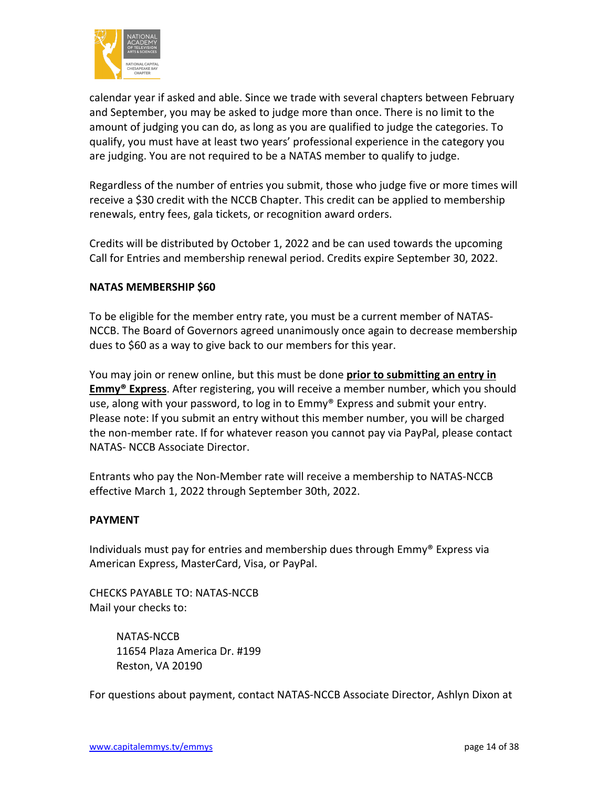

calendar year if asked and able. Since we trade with several chapters between February and September, you may be asked to judge more than once. There is no limit to the amount of judging you can do, as long as you are qualified to judge the categories. To qualify, you must have at least two years' professional experience in the category you are judging. You are not required to be a NATAS member to qualify to judge.

Regardless of the number of entries you submit, those who judge five or more times will receive a \$30 credit with the NCCB Chapter. This credit can be applied to membership renewals, entry fees, gala tickets, or recognition award orders.

Credits will be distributed by October 1, 2022 and be can used towards the upcoming Call for Entries and membership renewal period. Credits expire September 30, 2022.

# **NATAS MEMBERSHIP \$60**

To be eligible for the member entry rate, you must be a current member of NATAS-NCCB. The Board of Governors agreed unanimously once again to decrease membership dues to \$60 as a way to give back to our members for this year.

You may join or renew online, but this must be done **prior to submitting an entry in Emmy® Express**. After registering, you will receive a member number, which you should use, along with your password, to log in to Emmy® Express and submit your entry. Please note: If you submit an entry without this member number, you will be charged the non-member rate. If for whatever reason you cannot pay via PayPal, please contact NATAS- NCCB Associate Director.

Entrants who pay the Non-Member rate will receive a membership to NATAS-NCCB effective March 1, 2022 through September 30th, 2022.

# **PAYMENT**

Individuals must pay for entries and membership dues through Emmy® Express via American Express, MasterCard, Visa, or PayPal.

CHECKS PAYABLE TO: NATAS-NCCB Mail your checks to:

> NATAS-NCCB 11654 Plaza America Dr. #199 Reston, VA 20190

For questions about payment, contact NATAS-NCCB Associate Director, Ashlyn Dixon at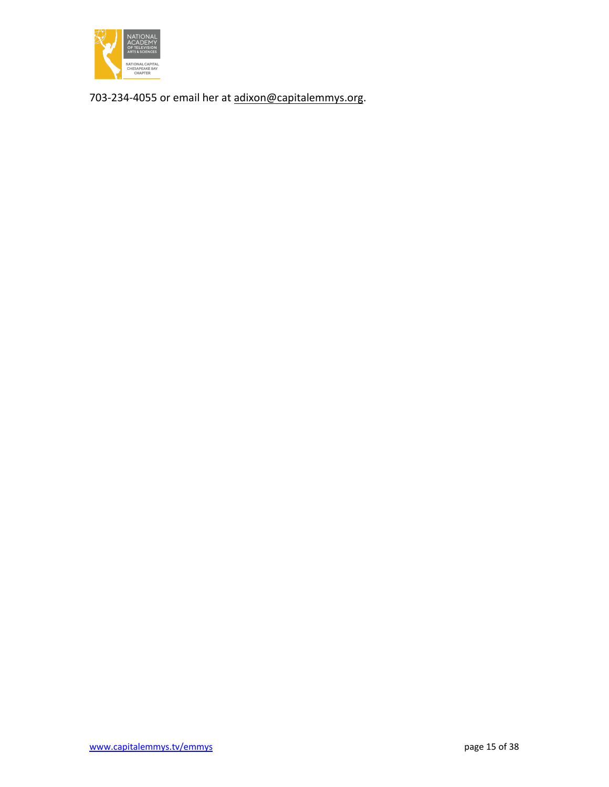

703-234-4055 or email her at [adixon@capitalemmys.org.](mailto:adixon@capitalemmys.org)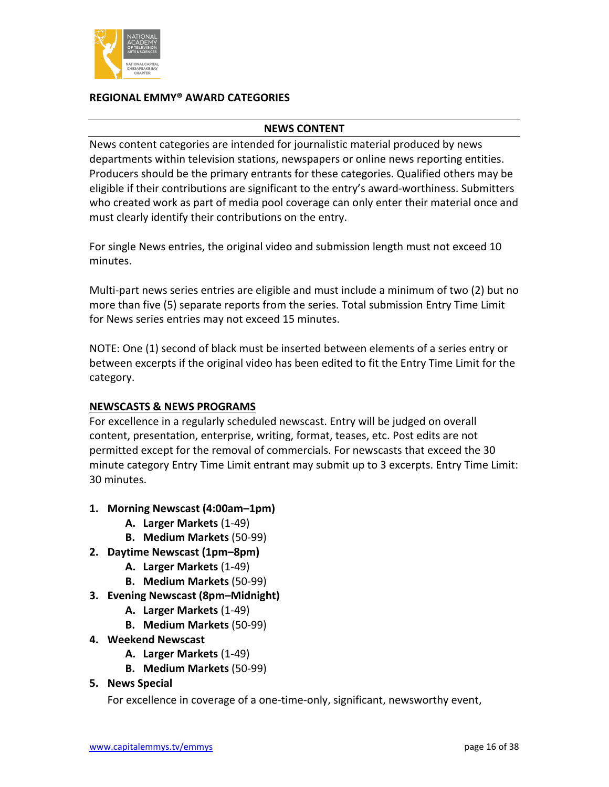

### **REGIONAL EMMY® AWARD CATEGORIES**

#### **NEWS CONTENT**

News content categories are intended for journalistic material produced by news departments within television stations, newspapers or online news reporting entities. Producers should be the primary entrants for these categories. Qualified others may be eligible if their contributions are significant to the entry's award-worthiness. Submitters who created work as part of media pool coverage can only enter their material once and must clearly identify their contributions on the entry.

For single News entries, the original video and submission length must not exceed 10 minutes.

Multi-part news series entries are eligible and must include a minimum of two (2) but no more than five (5) separate reports from the series. Total submission Entry Time Limit for News series entries may not exceed 15 minutes.

NOTE: One (1) second of black must be inserted between elements of a series entry or between excerpts if the original video has been edited to fit the Entry Time Limit for the category.

# **NEWSCASTS & NEWS PROGRAMS**

For excellence in a regularly scheduled newscast. Entry will be judged on overall content, presentation, enterprise, writing, format, teases, etc. Post edits are not permitted except for the removal of commercials. For newscasts that exceed the 30 minute category Entry Time Limit entrant may submit up to 3 excerpts. Entry Time Limit: 30 minutes.

- **1. Morning Newscast (4:00am–1pm)**
	- **A. Larger Markets** (1-49)
	- **B. Medium Markets** (50-99)
- **2. Daytime Newscast (1pm–8pm)**
	- **A. Larger Markets** (1-49)
	- **B. Medium Markets** (50-99)
- **3. Evening Newscast (8pm–Midnight)**
	- **A. Larger Markets** (1-49)
	- **B. Medium Markets** (50-99)
- **4. Weekend Newscast**
	- **A. Larger Markets** (1-49)
	- **B. Medium Markets** (50-99)
- **5. News Special**

For excellence in coverage of a one-time-only, significant, newsworthy event,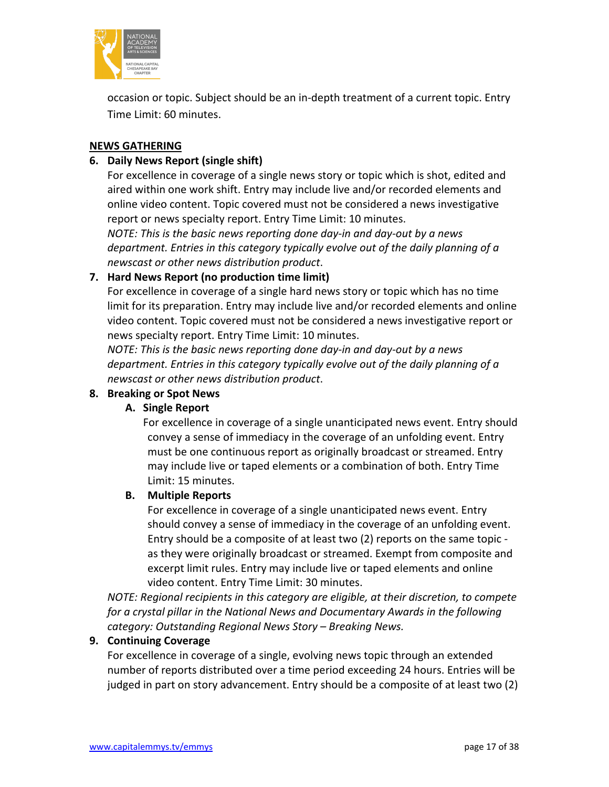

occasion or topic. Subject should be an in-depth treatment of a current topic. Entry Time Limit: 60 minutes.

# **NEWS GATHERING**

# **6. Daily News Report (single shift)**

For excellence in coverage of a single news story or topic which is shot, edited and aired within one work shift. Entry may include live and/or recorded elements and online video content. Topic covered must not be considered a news investigative report or news specialty report. Entry Time Limit: 10 minutes.

*NOTE: This is the basic news reporting done day-in and day-out by a news department. Entries in this category typically evolve out of the daily planning of a newscast or other news distribution product*.

# **7. Hard News Report (no production time limit)**

For excellence in coverage of a single hard news story or topic which has no time limit for its preparation. Entry may include live and/or recorded elements and online video content. Topic covered must not be considered a news investigative report or news specialty report. Entry Time Limit: 10 minutes.

*NOTE: This is the basic news reporting done day-in and day-out by a news department. Entries in this category typically evolve out of the daily planning of a newscast or other news distribution product*.

# **8. Breaking or Spot News**

# **A. Single Report**

For excellence in coverage of a single unanticipated news event. Entry should convey a sense of immediacy in the coverage of an unfolding event. Entry must be one continuous report as originally broadcast or streamed. Entry may include live or taped elements or a combination of both. Entry Time Limit: 15 minutes.

# **B. Multiple Reports**

For excellence in coverage of a single unanticipated news event. Entry should convey a sense of immediacy in the coverage of an unfolding event. Entry should be a composite of at least two (2) reports on the same topic as they were originally broadcast or streamed. Exempt from composite and excerpt limit rules. Entry may include live or taped elements and online video content. Entry Time Limit: 30 minutes.

*NOTE: Regional recipients in this category are eligible, at their discretion, to compete for a crystal pillar in the National News and Documentary Awards in the following category: Outstanding Regional News Story – Breaking News.* 

# **9. Continuing Coverage**

For excellence in coverage of a single, evolving news topic through an extended number of reports distributed over a time period exceeding 24 hours. Entries will be judged in part on story advancement. Entry should be a composite of at least two (2)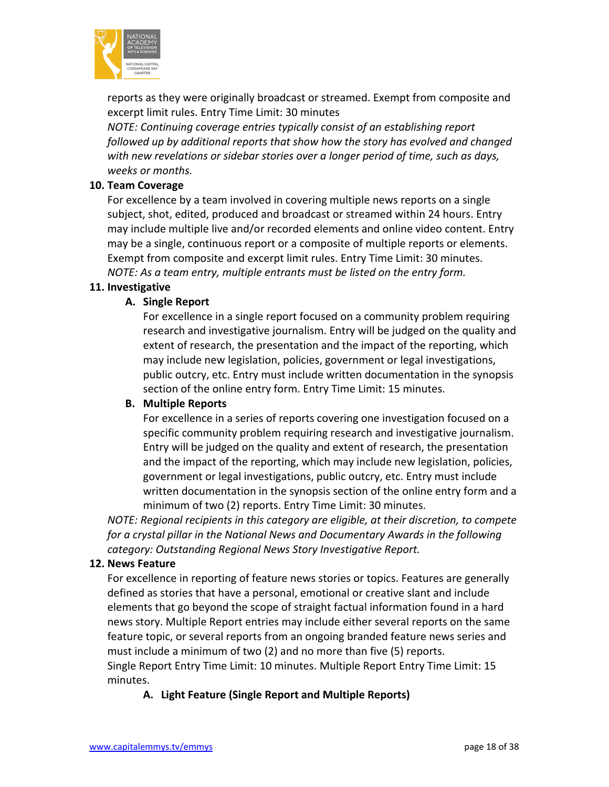

reports as they were originally broadcast or streamed. Exempt from composite and excerpt limit rules. Entry Time Limit: 30 minutes

*NOTE: Continuing coverage entries typically consist of an establishing report followed up by additional reports that show how the story has evolved and changed with new revelations or sidebar stories over a longer period of time, such as days, weeks or months.*

### **10. Team Coverage**

For excellence by a team involved in covering multiple news reports on a single subject, shot, edited, produced and broadcast or streamed within 24 hours. Entry may include multiple live and/or recorded elements and online video content. Entry may be a single, continuous report or a composite of multiple reports or elements. Exempt from composite and excerpt limit rules. Entry Time Limit: 30 minutes. *NOTE: As a team entry, multiple entrants must be listed on the entry form.*

### **11. Investigative**

# **A. Single Report**

For excellence in a single report focused on a community problem requiring research and investigative journalism. Entry will be judged on the quality and extent of research, the presentation and the impact of the reporting, which may include new legislation, policies, government or legal investigations, public outcry, etc. Entry must include written documentation in the synopsis section of the online entry form. Entry Time Limit: 15 minutes.

# **B. Multiple Reports**

For excellence in a series of reports covering one investigation focused on a specific community problem requiring research and investigative journalism. Entry will be judged on the quality and extent of research, the presentation and the impact of the reporting, which may include new legislation, policies, government or legal investigations, public outcry, etc. Entry must include written documentation in the synopsis section of the online entry form and a minimum of two (2) reports. Entry Time Limit: 30 minutes.

*NOTE: Regional recipients in this category are eligible, at their discretion, to compete for a crystal pillar in the National News and Documentary Awards in the following category: Outstanding Regional News Story Investigative Report.*

#### **12. News Feature**

For excellence in reporting of feature news stories or topics. Features are generally defined as stories that have a personal, emotional or creative slant and include elements that go beyond the scope of straight factual information found in a hard news story. Multiple Report entries may include either several reports on the same feature topic, or several reports from an ongoing branded feature news series and must include a minimum of two (2) and no more than five (5) reports. Single Report Entry Time Limit: 10 minutes. Multiple Report Entry Time Limit: 15 minutes.

**A. Light Feature (Single Report and Multiple Reports)**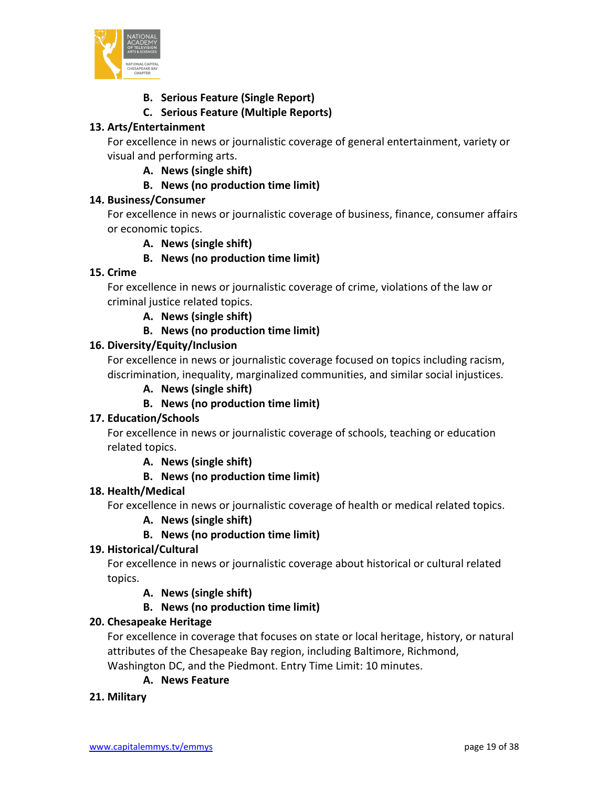

# **B. Serious Feature (Single Report)**

# **C. Serious Feature (Multiple Reports)**

# **13. Arts/Entertainment**

For excellence in news or journalistic coverage of general entertainment, variety or visual and performing arts.

**A. News (single shift)**

# **B. News (no production time limit)**

# **14. Business/Consumer**

For excellence in news or journalistic coverage of business, finance, consumer affairs or economic topics.

**A. News (single shift)**

**B. News (no production time limit)**

# **15. Crime**

For excellence in news or journalistic coverage of crime, violations of the law or criminal justice related topics.

**A. News (single shift)**

# **B. News (no production time limit)**

# **16. Diversity/Equity/Inclusion**

For excellence in news or journalistic coverage focused on topics including racism, discrimination, inequality, marginalized communities, and similar social injustices.

**A. News (single shift)**

# **B. News (no production time limit)**

# **17. Education/Schools**

For excellence in news or journalistic coverage of schools, teaching or education related topics.

**A. News (single shift)**

# **B. News (no production time limit)**

# **18. Health/Medical**

For excellence in news or journalistic coverage of health or medical related topics.

# **A. News (single shift)**

# **B. News (no production time limit)**

# **19. Historical/Cultural**

For excellence in news or journalistic coverage about historical or cultural related topics.

**A. News (single shift)**

**B. News (no production time limit)**

# **20. Chesapeake Heritage**

For excellence in coverage that focuses on state or local heritage, history, or natural attributes of the Chesapeake Bay region, including Baltimore, Richmond, Washington DC, and the Piedmont. Entry Time Limit: 10 minutes.

# **A. News Feature**

# **21. Military**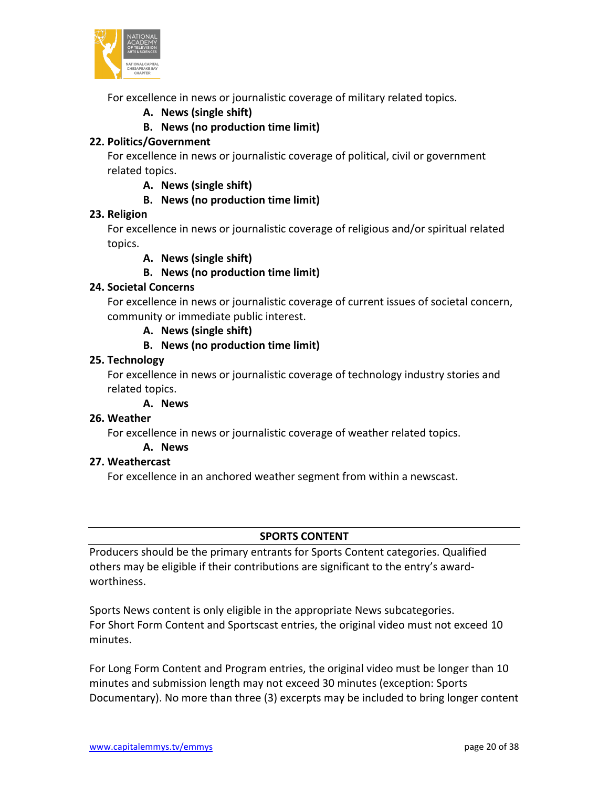

For excellence in news or journalistic coverage of military related topics.

**A. News (single shift)**

# **B. News (no production time limit)**

# **22. Politics/Government**

For excellence in news or journalistic coverage of political, civil or government related topics.

### **A. News (single shift)**

# **B. News (no production time limit)**

# **23. Religion**

For excellence in news or journalistic coverage of religious and/or spiritual related topics.

**A. News (single shift)**

# **B. News (no production time limit)**

# **24. Societal Concerns**

For excellence in news or journalistic coverage of current issues of societal concern, community or immediate public interest.

**A. News (single shift)**

# **B. News (no production time limit)**

# **25. Technology**

For excellence in news or journalistic coverage of technology industry stories and related topics.

# **A. News**

# **26. Weather**

For excellence in news or journalistic coverage of weather related topics.

#### **A. News**

# **27. Weathercast**

For excellence in an anchored weather segment from within a newscast.

# **SPORTS CONTENT**

Producers should be the primary entrants for Sports Content categories. Qualified others may be eligible if their contributions are significant to the entry's awardworthiness.

Sports News content is only eligible in the appropriate News subcategories. For Short Form Content and Sportscast entries, the original video must not exceed 10 minutes.

For Long Form Content and Program entries, the original video must be longer than 10 minutes and submission length may not exceed 30 minutes (exception: Sports Documentary). No more than three (3) excerpts may be included to bring longer content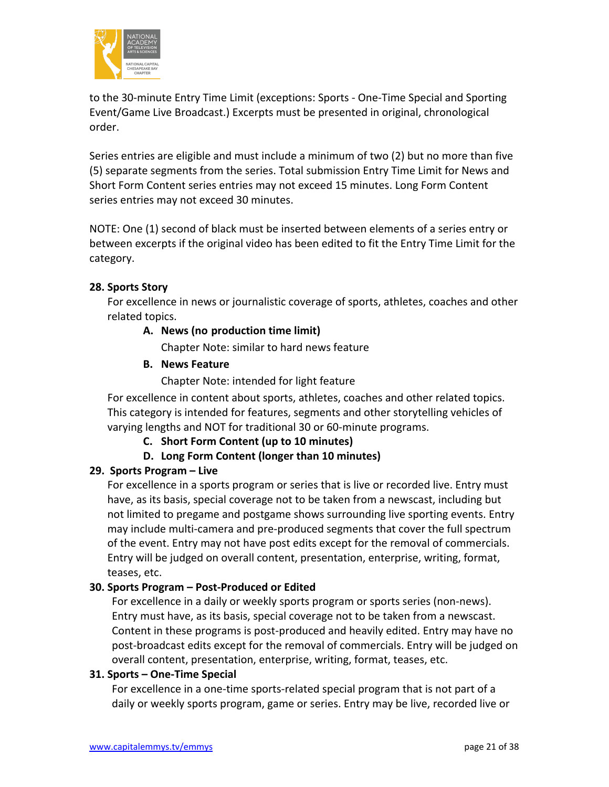

to the 30-minute Entry Time Limit (exceptions: Sports - One-Time Special and Sporting Event/Game Live Broadcast.) Excerpts must be presented in original, chronological order.

Series entries are eligible and must include a minimum of two (2) but no more than five (5) separate segments from the series. Total submission Entry Time Limit for News and Short Form Content series entries may not exceed 15 minutes. Long Form Content series entries may not exceed 30 minutes.

NOTE: One (1) second of black must be inserted between elements of a series entry or between excerpts if the original video has been edited to fit the Entry Time Limit for the category.

# **28. Sports Story**

For excellence in news or journalistic coverage of sports, athletes, coaches and other related topics.

# **A. News (no production time limit)**

Chapter Note: similar to hard news feature

# **B. News Feature**

Chapter Note: intended for light feature

For excellence in content about sports, athletes, coaches and other related topics. This category is intended for features, segments and other storytelling vehicles of varying lengths and NOT for traditional 30 or 60-minute programs.

**C. Short Form Content (up to 10 minutes)**

**D. Long Form Content (longer than 10 minutes)**

# **29. Sports Program – Live**

For excellence in a sports program or series that is live or recorded live. Entry must have, as its basis, special coverage not to be taken from a newscast, including but not limited to pregame and postgame shows surrounding live sporting events. Entry may include multi-camera and pre-produced segments that cover the full spectrum of the event. Entry may not have post edits except for the removal of commercials. Entry will be judged on overall content, presentation, enterprise, writing, format, teases, etc.

# **30. Sports Program – Post-Produced or Edited**

For excellence in a daily or weekly sports program or sports series (non-news). Entry must have, as its basis, special coverage not to be taken from a newscast. Content in these programs is post-produced and heavily edited. Entry may have no post-broadcast edits except for the removal of commercials. Entry will be judged on overall content, presentation, enterprise, writing, format, teases, etc.

# **31. Sports – One-Time Special**

For excellence in a one-time sports-related special program that is not part of a daily or weekly sports program, game or series. Entry may be live, recorded live or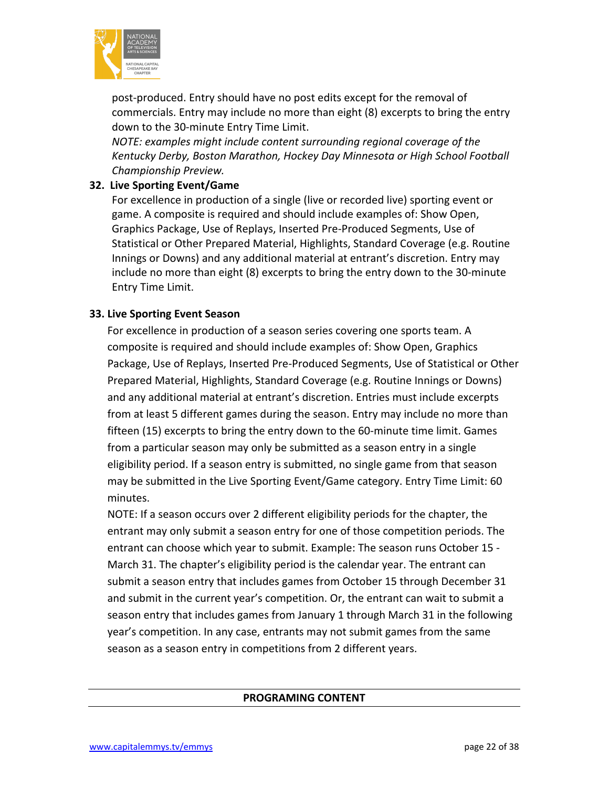

post-produced. Entry should have no post edits except for the removal of commercials. Entry may include no more than eight (8) excerpts to bring the entry down to the 30-minute Entry Time Limit.

*NOTE: examples might include content surrounding regional coverage of the Kentucky Derby, Boston Marathon, Hockey Day Minnesota or High School Football Championship Preview.*

# **32. Live Sporting Event/Game**

For excellence in production of a single (live or recorded live) sporting event or game. A composite is required and should include examples of: Show Open, Graphics Package, Use of Replays, Inserted Pre-Produced Segments, Use of Statistical or Other Prepared Material, Highlights, Standard Coverage (e.g. Routine Innings or Downs) and any additional material at entrant's discretion. Entry may include no more than eight (8) excerpts to bring the entry down to the 30-minute Entry Time Limit.

# **33. Live Sporting Event Season**

For excellence in production of a season series covering one sports team. A composite is required and should include examples of: Show Open, Graphics Package, Use of Replays, Inserted Pre-Produced Segments, Use of Statistical or Other Prepared Material, Highlights, Standard Coverage (e.g. Routine Innings or Downs) and any additional material at entrant's discretion. Entries must include excerpts from at least 5 different games during the season. Entry may include no more than fifteen (15) excerpts to bring the entry down to the 60-minute time limit. Games from a particular season may only be submitted as a season entry in a single eligibility period. If a season entry is submitted, no single game from that season may be submitted in the Live Sporting Event/Game category. Entry Time Limit: 60 minutes.

NOTE: If a season occurs over 2 different eligibility periods for the chapter, the entrant may only submit a season entry for one of those competition periods. The entrant can choose which year to submit. Example: The season runs October 15 - March 31. The chapter's eligibility period is the calendar year. The entrant can submit a season entry that includes games from October 15 through December 31 and submit in the current year's competition. Or, the entrant can wait to submit a season entry that includes games from January 1 through March 31 in the following year's competition. In any case, entrants may not submit games from the same season as a season entry in competitions from 2 different years.

# **PROGRAMING CONTENT**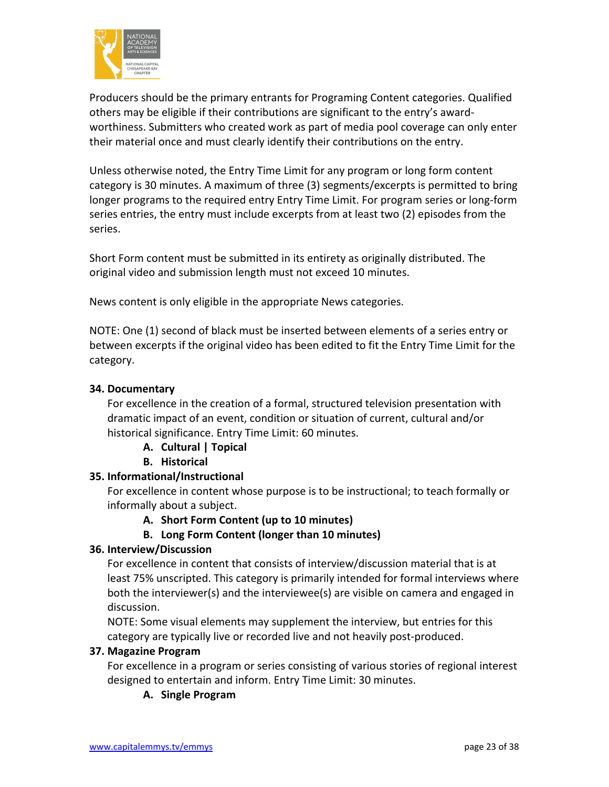

Producers should be the primary entrants for Programing Content categories. Qualified others may be eligible if their contributions are significant to the entry's awardworthiness. Submitters who created work as part of media pool coverage can only enter their material once and must clearly identify their contributions on the entry.

Unless otherwise noted, the Entry Time Limit for any program or long form content category is 30 minutes. A maximum of three (3) segments/excerpts is permitted to bring longer programs to the required entry Entry Time Limit. For program series or long-form series entries, the entry must include excerpts from at least two (2) episodes from the series.

Short Form content must be submitted in its entirety as originally distributed. The original video and submission length must not exceed 10 minutes.

News content is only eligible in the appropriate News categories.

NOTE: One (1) second of black must be inserted between elements of a series entry or between excerpts if the original video has been edited to fit the Entry Time Limit for the category.

# **34. Documentary**

For excellence in the creation of a formal, structured television presentation with dramatic impact of an event, condition or situation of current, cultural and/or historical significance. Entry Time Limit: 60 minutes.

- **A. Cultural | Topical**
- **B. Historical**

# **35. Informational/Instructional**

For excellence in content whose purpose is to be instructional; to teach formally or informally about a subject.

# **A. Short Form Content (up to 10 minutes)**

# **B. Long Form Content (longer than 10 minutes)**

# **36. Interview/Discussion**

For excellence in content that consists of interview/discussion material that is at least 75% unscripted. This category is primarily intended for formal interviews where both the interviewer(s) and the interviewee(s) are visible on camera and engaged in discussion.

NOTE: Some visual elements may supplement the interview, but entries for this category are typically live or recorded live and not heavily post-produced.

# **37. Magazine Program**

For excellence in a program or series consisting of various stories of regional interest designed to entertain and inform. Entry Time Limit: 30 minutes.

# **A. Single Program**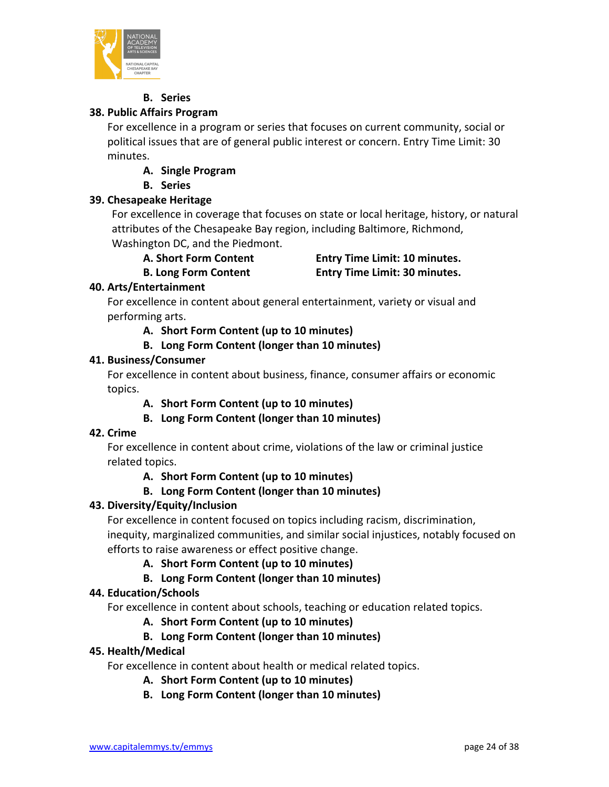

# **B. Series**

# **38. Public Affairs Program**

For excellence in a program or series that focuses on current community, social or political issues that are of general public interest or concern. Entry Time Limit: 30 minutes.

**A. Single Program**

# **B. Series**

# **39. Chesapeake Heritage**

For excellence in coverage that focuses on state or local heritage, history, or natural attributes of the Chesapeake Bay region, including Baltimore, Richmond, Washington DC, and the Piedmont.

**A. Short Form Content Entry Time Limit: 10 minutes. B. Long Form Content Entry Time Limit: 30 minutes.**

# **40. Arts/Entertainment**

For excellence in content about general entertainment, variety or visual and performing arts.

**A. Short Form Content (up to 10 minutes)**

# **B. Long Form Content (longer than 10 minutes)**

# **41. Business/Consumer**

For excellence in content about business, finance, consumer affairs or economic topics.

- **A. Short Form Content (up to 10 minutes)**
- **B. Long Form Content (longer than 10 minutes)**

# **42. Crime**

For excellence in content about crime, violations of the law or criminal justice related topics.

**A. Short Form Content (up to 10 minutes)**

# **B. Long Form Content (longer than 10 minutes)**

# **43. Diversity/Equity/Inclusion**

For excellence in content focused on topics including racism, discrimination, inequity, marginalized communities, and similar social injustices, notably focused on efforts to raise awareness or effect positive change.

- **A. Short Form Content (up to 10 minutes)**
- **B. Long Form Content (longer than 10 minutes)**

# **44. Education/Schools**

For excellence in content about schools, teaching or education related topics.

# **A. Short Form Content (up to 10 minutes)**

# **B. Long Form Content (longer than 10 minutes)**

# **45. Health/Medical**

For excellence in content about health or medical related topics.

- **A. Short Form Content (up to 10 minutes)**
- **B. Long Form Content (longer than 10 minutes)**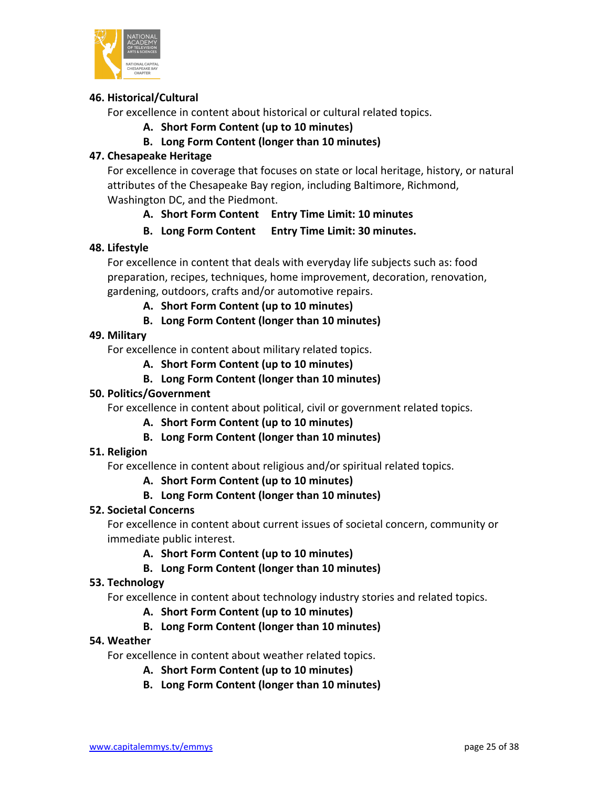

# **46. Historical/Cultural**

For excellence in content about historical or cultural related topics.

**A. Short Form Content (up to 10 minutes)**

# **B. Long Form Content (longer than 10 minutes)**

# **47. Chesapeake Heritage**

For excellence in coverage that focuses on state or local heritage, history, or natural attributes of the Chesapeake Bay region, including Baltimore, Richmond, Washington DC, and the Piedmont.

# **A. Short Form Content Entry Time Limit: 10 minutes**

# **B. Long Form Content Entry Time Limit: 30 minutes.**

# **48. Lifestyle**

For excellence in content that deals with everyday life subjects such as: food preparation, recipes, techniques, home improvement, decoration, renovation, gardening, outdoors, crafts and/or automotive repairs.

# **A. Short Form Content (up to 10 minutes)**

**B. Long Form Content (longer than 10 minutes)**

# **49. Military**

For excellence in content about military related topics.

**A. Short Form Content (up to 10 minutes)**

# **B. Long Form Content (longer than 10 minutes)**

# **50. Politics/Government**

For excellence in content about political, civil or government related topics.

# **A. Short Form Content (up to 10 minutes)**

# **B. Long Form Content (longer than 10 minutes)**

# **51. Religion**

For excellence in content about religious and/or spiritual related topics.

# **A. Short Form Content (up to 10 minutes)**

# **B. Long Form Content (longer than 10 minutes)**

# **52. Societal Concerns**

For excellence in content about current issues of societal concern, community or immediate public interest.

# **A. Short Form Content (up to 10 minutes)**

# **B. Long Form Content (longer than 10 minutes)**

# **53. Technology**

For excellence in content about technology industry stories and related topics.

# **A. Short Form Content (up to 10 minutes)**

# **B. Long Form Content (longer than 10 minutes)**

# **54. Weather**

For excellence in content about weather related topics.

- **A. Short Form Content (up to 10 minutes)**
- **B. Long Form Content (longer than 10 minutes)**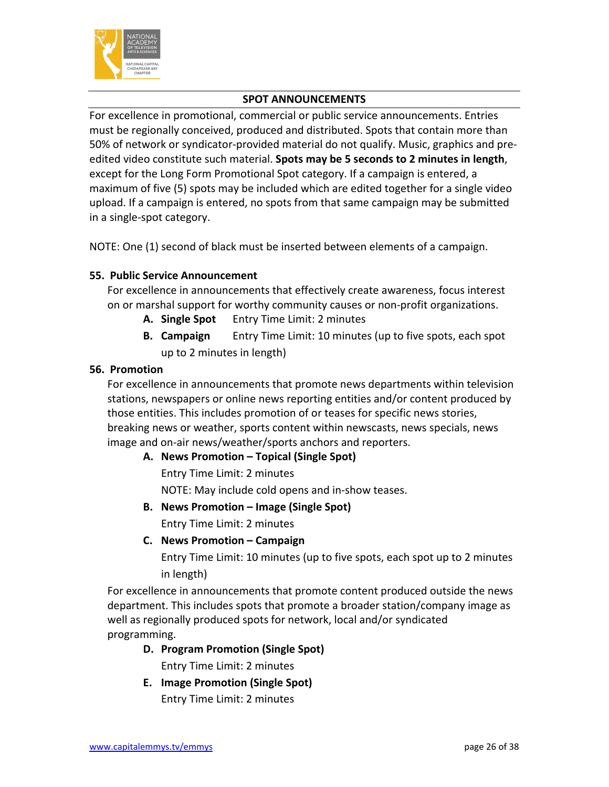

# **SPOT ANNOUNCEMENTS**

For excellence in promotional, commercial or public service announcements. Entries must be regionally conceived, produced and distributed. Spots that contain more than 50% of network or syndicator-provided material do not qualify. Music, graphics and preedited video constitute such material. **Spots may be 5 seconds to 2 minutes in length**, except for the Long Form Promotional Spot category. If a campaign is entered, a maximum of five (5) spots may be included which are edited together for a single video upload. If a campaign is entered, no spots from that same campaign may be submitted in a single-spot category.

NOTE: One (1) second of black must be inserted between elements of a campaign.

# **55. Public Service Announcement**

For excellence in announcements that effectively create awareness, focus interest on or marshal support for worthy community causes or non-profit organizations.

- **A. Single Spot** Entry Time Limit: 2 minutes
- **B. Campaign** Entry Time Limit: 10 minutes (up to five spots, each spot up to 2 minutes in length)

# **56. Promotion**

For excellence in announcements that promote news departments within television stations, newspapers or online news reporting entities and/or content produced by those entities. This includes promotion of or teases for specific news stories, breaking news or weather, sports content within newscasts, news specials, news image and on-air news/weather/sports anchors and reporters.

**A. News Promotion – Topical (Single Spot)**

Entry Time Limit: 2 minutes

NOTE: May include cold opens and in-show teases.

- **B. News Promotion – Image (Single Spot)** Entry Time Limit: 2 minutes
- **C. News Promotion – Campaign**

Entry Time Limit: 10 minutes (up to five spots, each spot up to 2 minutes in length)

For excellence in announcements that promote content produced outside the news department. This includes spots that promote a broader station/company image as well as regionally produced spots for network, local and/or syndicated programming.

- **D. Program Promotion (Single Spot)** Entry Time Limit: 2 minutes
- **E. Image Promotion (Single Spot)** Entry Time Limit: 2 minutes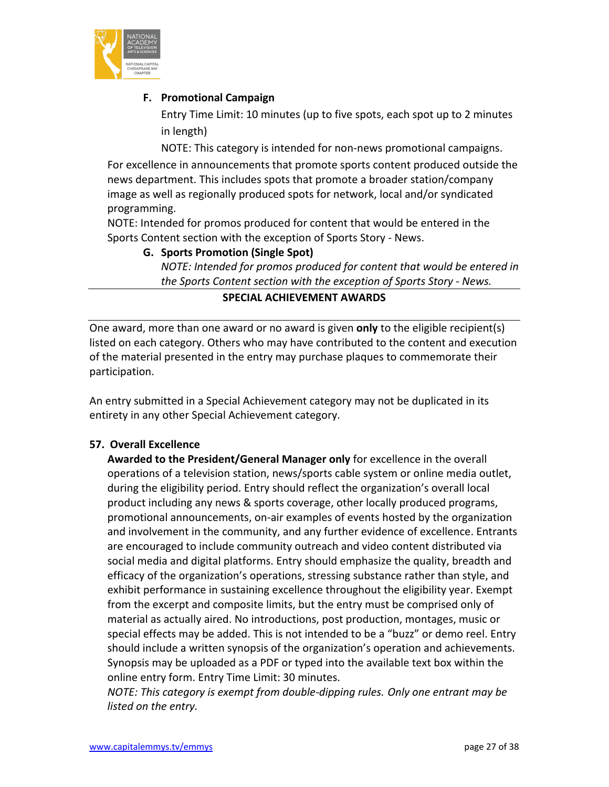

# **F. Promotional Campaign**

Entry Time Limit: 10 minutes (up to five spots, each spot up to 2 minutes in length)

NOTE: This category is intended for non-news promotional campaigns. For excellence in announcements that promote sports content produced outside the news department. This includes spots that promote a broader station/company image as well as regionally produced spots for network, local and/or syndicated programming.

NOTE: Intended for promos produced for content that would be entered in the Sports Content section with the exception of Sports Story - News.

# **G. Sports Promotion (Single Spot)**

*NOTE: Intended for promos produced for content that would be entered in the Sports Content section with the exception of Sports Story - News.*

# **SPECIAL ACHIEVEMENT AWARDS**

One award, more than one award or no award is given **only** to the eligible recipient(s) listed on each category. Others who may have contributed to the content and execution of the material presented in the entry may purchase plaques to commemorate their participation.

An entry submitted in a Special Achievement category may not be duplicated in its entirety in any other Special Achievement category.

# **57. Overall Excellence**

**Awarded to the President/General Manager only** for excellence in the overall operations of a television station, news/sports cable system or online media outlet, during the eligibility period. Entry should reflect the organization's overall local product including any news & sports coverage, other locally produced programs, promotional announcements, on-air examples of events hosted by the organization and involvement in the community, and any further evidence of excellence. Entrants are encouraged to include community outreach and video content distributed via social media and digital platforms. Entry should emphasize the quality, breadth and efficacy of the organization's operations, stressing substance rather than style, and exhibit performance in sustaining excellence throughout the eligibility year. Exempt from the excerpt and composite limits, but the entry must be comprised only of material as actually aired. No introductions, post production, montages, music or special effects may be added. This is not intended to be a "buzz" or demo reel. Entry should include a written synopsis of the organization's operation and achievements. Synopsis may be uploaded as a PDF or typed into the available text box within the online entry form. Entry Time Limit: 30 minutes.

*NOTE: This category is exempt from double-dipping rules. Only one entrant may be listed on the entry.*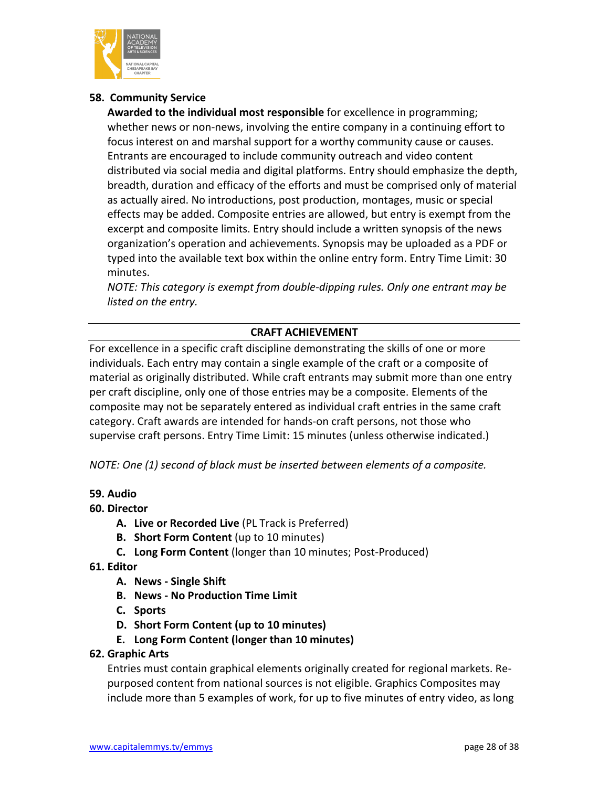

# **58. Community Service**

**Awarded to the individual most responsible** for excellence in programming; whether news or non-news, involving the entire company in a continuing effort to focus interest on and marshal support for a worthy community cause or causes. Entrants are encouraged to include community outreach and video content distributed via social media and digital platforms. Entry should emphasize the depth, breadth, duration and efficacy of the efforts and must be comprised only of material as actually aired. No introductions, post production, montages, music or special effects may be added. Composite entries are allowed, but entry is exempt from the excerpt and composite limits. Entry should include a written synopsis of the news organization's operation and achievements. Synopsis may be uploaded as a PDF or typed into the available text box within the online entry form. Entry Time Limit: 30 minutes.

*NOTE: This category is exempt from double-dipping rules. Only one entrant may be listed on the entry.*

# **CRAFT ACHIEVEMENT**

For excellence in a specific craft discipline demonstrating the skills of one or more individuals. Each entry may contain a single example of the craft or a composite of material as originally distributed. While craft entrants may submit more than one entry per craft discipline, only one of those entries may be a composite. Elements of the composite may not be separately entered as individual craft entries in the same craft category. Craft awards are intended for hands-on craft persons, not those who supervise craft persons. Entry Time Limit: 15 minutes (unless otherwise indicated.)

*NOTE: One (1) second of black must be inserted between elements of a composite.*

# **59. Audio**

# **60. Director**

- **A. Live or Recorded Live** (PL Track is Preferred)
- **B. Short Form Content** (up to 10 minutes)
- **C. Long Form Content** (longer than 10 minutes; Post-Produced)

# **61. Editor**

- **A. News - Single Shift**
- **B. News - No Production Time Limit**
- **C. Sports**
- **D. Short Form Content (up to 10 minutes)**
- **E. Long Form Content (longer than 10 minutes)**
- **62. Graphic Arts**

Entries must contain graphical elements originally created for regional markets. Repurposed content from national sources is not eligible. Graphics Composites may include more than 5 examples of work, for up to five minutes of entry video, as long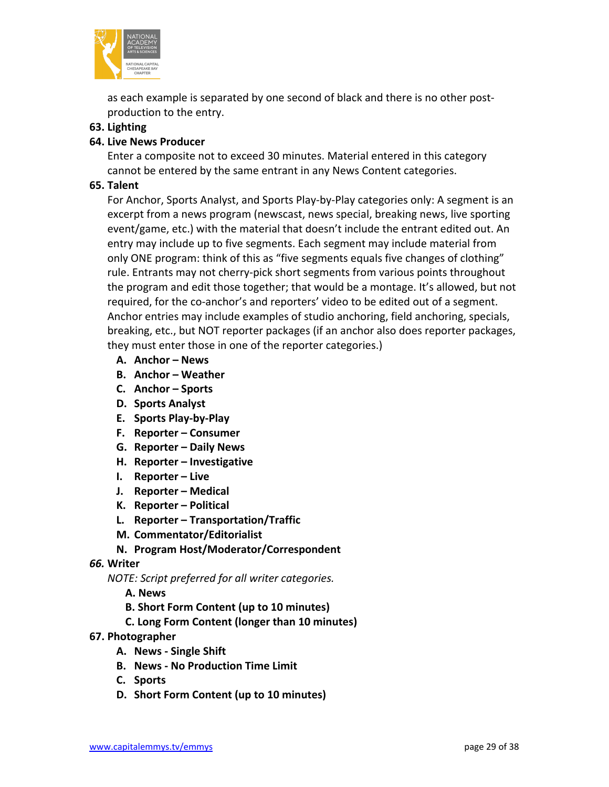

as each example is separated by one second of black and there is no other postproduction to the entry.

# **63. Lighting**

# **64. Live News Producer**

Enter a composite not to exceed 30 minutes. Material entered in this category cannot be entered by the same entrant in any News Content categories.

# **65. Talent**

For Anchor, Sports Analyst, and Sports Play-by-Play categories only: A segment is an excerpt from a news program (newscast, news special, breaking news, live sporting event/game, etc.) with the material that doesn't include the entrant edited out. An entry may include up to five segments. Each segment may include material from only ONE program: think of this as "five segments equals five changes of clothing" rule. Entrants may not cherry-pick short segments from various points throughout the program and edit those together; that would be a montage. It's allowed, but not required, for the co-anchor's and reporters' video to be edited out of a segment. Anchor entries may include examples of studio anchoring, field anchoring, specials, breaking, etc., but NOT reporter packages (if an anchor also does reporter packages, they must enter those in one of the reporter categories.)

- **A. Anchor – News**
- **B. Anchor – Weather**
- **C. Anchor – Sports**
- **D. Sports Analyst**
- **E. Sports Play-by-Play**
- **F. Reporter – Consumer**
- **G. Reporter – Daily News**
- **H. Reporter – Investigative**
- **I. Reporter – Live**
- **J. Reporter – Medical**
- **K. Reporter – Political**
- **L. Reporter – Transportation/Traffic**
- **M. Commentator/Editorialist**
- **N. Program Host/Moderator/Correspondent**

#### *66.* **Writer**

*NOTE: Script preferred for all writer categories.*

- **A. News**
- **B. Short Form Content (up to 10 minutes)**
- **C. Long Form Content (longer than 10 minutes)**

#### **67. Photographer**

- **A. News - Single Shift**
- **B. News - No Production Time Limit**
- **C. Sports**
- **D. Short Form Content (up to 10 minutes)**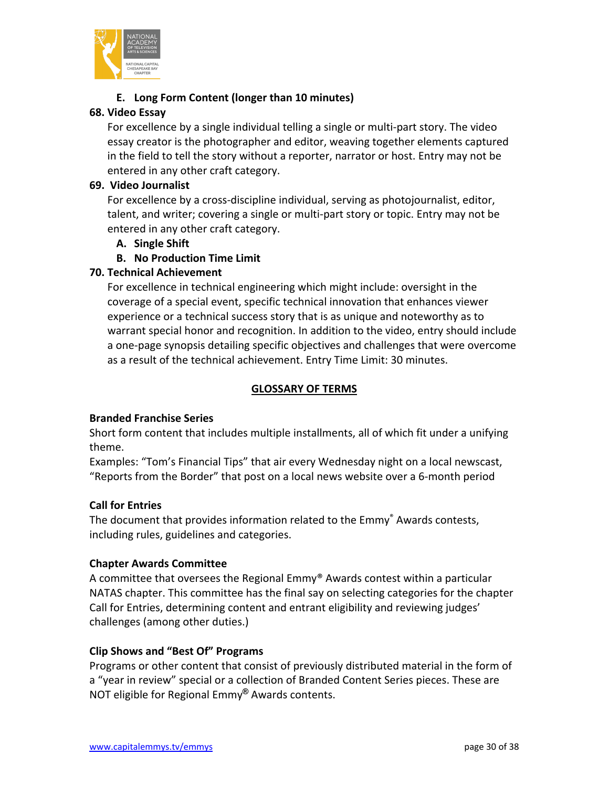

# **E. Long Form Content (longer than 10 minutes)**

# **68. Video Essay**

For excellence by a single individual telling a single or multi-part story. The video essay creator is the photographer and editor, weaving together elements captured in the field to tell the story without a reporter, narrator or host. Entry may not be entered in any other craft category.

# **69. Video Journalist**

For excellence by a cross-discipline individual, serving as photojournalist, editor, talent, and writer; covering a single or multi-part story or topic. Entry may not be entered in any other craft category.

- **A. Single Shift**
- **B. No Production Time Limit**

# **70. Technical Achievement**

For excellence in technical engineering which might include: oversight in the coverage of a special event, specific technical innovation that enhances viewer experience or a technical success story that is as unique and noteworthy as to warrant special honor and recognition. In addition to the video, entry should include a one-page synopsis detailing specific objectives and challenges that were overcome as a result of the technical achievement. Entry Time Limit: 30 minutes.

# **GLOSSARY OF TERMS**

# **Branded Franchise Series**

Short form content that includes multiple installments, all of which fit under a unifying theme.

Examples: "Tom's Financial Tips" that air every Wednesday night on a local newscast, "Reports from the Border" that post on a local news website over a 6-month period

# **Call for Entries**

The document that provides information related to the Emmy<sup>®</sup> Awards contests, including rules, guidelines and categories.

# **Chapter Awards Committee**

A committee that oversees the Regional Emmy® Awards contest within a particular NATAS chapter. This committee has the final say on selecting categories for the chapter Call for Entries, determining content and entrant eligibility and reviewing judges' challenges (among other duties.)

# **Clip Shows and "Best Of" Programs**

Programs or other content that consist of previously distributed material in the form of a "year in review" special or a collection of Branded Content Series pieces. These are NOT eligible for Regional Emmy**®** Awards contents.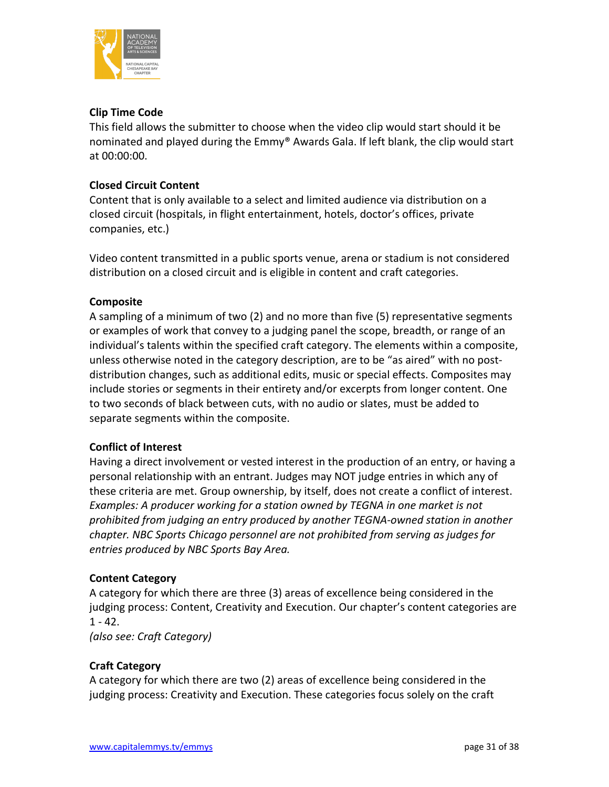

# **Clip Time Code**

This field allows the submitter to choose when the video clip would start should it be nominated and played during the Emmy® Awards Gala. If left blank, the clip would start at 00:00:00.

# **Closed Circuit Content**

Content that is only available to a select and limited audience via distribution on a closed circuit (hospitals, in flight entertainment, hotels, doctor's offices, private companies, etc.)

Video content transmitted in a public sports venue, arena or stadium is not considered distribution on a closed circuit and is eligible in content and craft categories.

# **Composite**

A sampling of a minimum of two (2) and no more than five (5) representative segments or examples of work that convey to a judging panel the scope, breadth, or range of an individual's talents within the specified craft category. The elements within a composite, unless otherwise noted in the category description, are to be "as aired" with no postdistribution changes, such as additional edits, music or special effects. Composites may include stories or segments in their entirety and/or excerpts from longer content. One to two seconds of black between cuts, with no audio or slates, must be added to separate segments within the composite.

# **Conflict of Interest**

Having a direct involvement or vested interest in the production of an entry, or having a personal relationship with an entrant. Judges may NOT judge entries in which any of these criteria are met. Group ownership, by itself, does not create a conflict of interest. Examples: A producer working for a station owned by TEGNA in one market is not *prohibited from judging an entry produced by another TEGNA-owned station in another chapter. NBC Sports Chicago personnel are not prohibited from serving as judges for entries produced by NBC Sports Bay Area.*

# **Content Category**

A category for which there are three (3) areas of excellence being considered in the judging process: Content, Creativity and Execution. Our chapter's content categories are  $1 - 42.$ 

*(also see: Craft Category)*

# **Craft Category**

A category for which there are two (2) areas of excellence being considered in the judging process: Creativity and Execution. These categories focus solely on the craft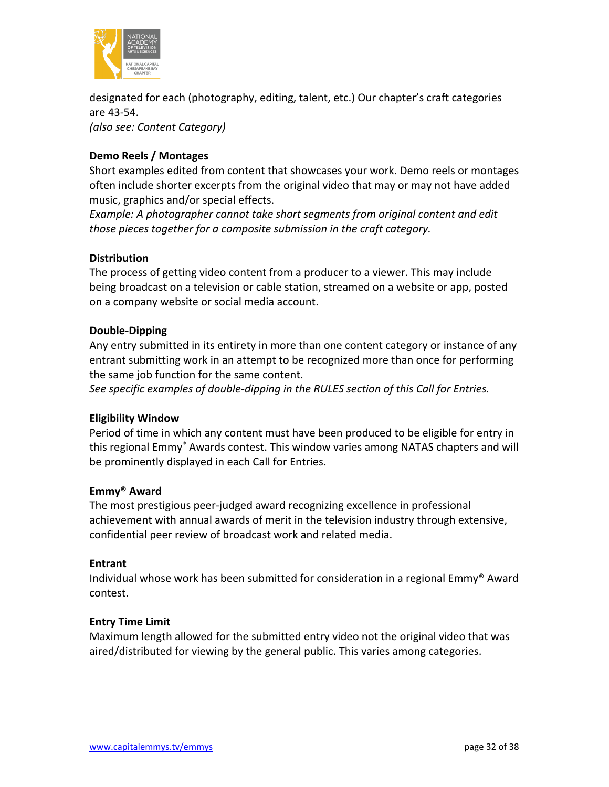

designated for each (photography, editing, talent, etc.) Our chapter's craft categories are 43-54.

*(also see: Content Category)*

# **Demo Reels / Montages**

Short examples edited from content that showcases your work. Demo reels or montages often include shorter excerpts from the original video that may or may not have added music, graphics and/or special effects.

*Example: A photographer cannot take short segments from original content and edit those pieces together for a composite submission in the craft category.*

### **Distribution**

The process of getting video content from a producer to a viewer. This may include being broadcast on a television or cable station, streamed on a website or app, posted on a company website or social media account.

### **Double-Dipping**

Any entry submitted in its entirety in more than one content category or instance of any entrant submitting work in an attempt to be recognized more than once for performing the same job function for the same content.

*See specific examples of double-dipping in the RULES section of this Call for Entries.*

# **Eligibility Window**

Period of time in which any content must have been produced to be eligible for entry in this regional Emmy® Awards contest. This window varies among NATAS chapters and will be prominently displayed in each Call for Entries.

#### **Emmy® Award**

The most prestigious peer-judged award recognizing excellence in professional achievement with annual awards of merit in the television industry through extensive, confidential peer review of broadcast work and related media.

#### **Entrant**

Individual whose work has been submitted for consideration in a regional Emmy® Award contest.

#### **Entry Time Limit**

Maximum length allowed for the submitted entry video not the original video that was aired/distributed for viewing by the general public. This varies among categories.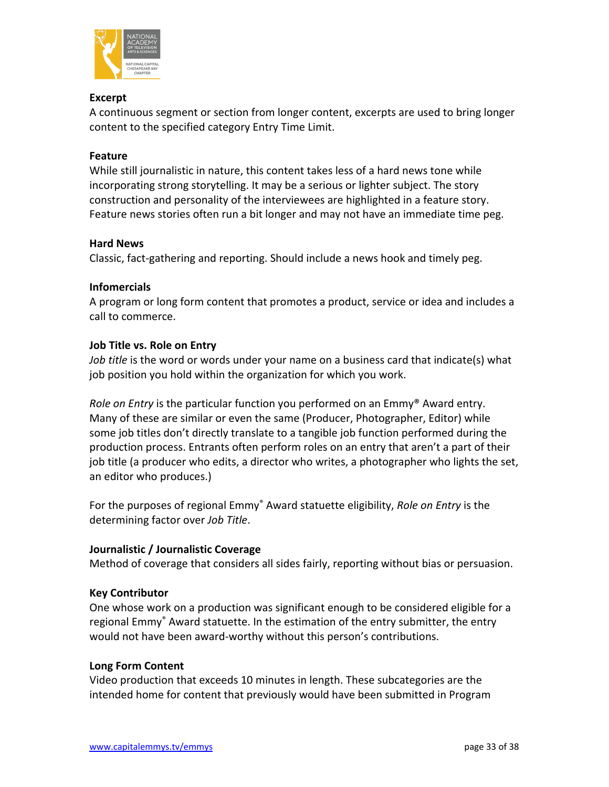

### **Excerpt**

A continuous segment or section from longer content, excerpts are used to bring longer content to the specified category Entry Time Limit.

### **Feature**

While still journalistic in nature, this content takes less of a hard news tone while incorporating strong storytelling. It may be a serious or lighter subject. The story construction and personality of the interviewees are highlighted in a feature story. Feature news stories often run a bit longer and may not have an immediate time peg.

### **Hard News**

Classic, fact-gathering and reporting. Should include a news hook and timely peg.

### **Infomercials**

A program or long form content that promotes a product, service or idea and includes a call to commerce.

### **Job Title vs. Role on Entry**

*Job title* is the word or words under your name on a business card that indicate(s) what job position you hold within the organization for which you work.

*Role on Entry* is the particular function you performed on an Emmy® Award entry. Many of these are similar or even the same (Producer, Photographer, Editor) while some job titles don't directly translate to a tangible job function performed during the production process. Entrants often perform roles on an entry that aren't a part of their job title (a producer who edits, a director who writes, a photographer who lights the set, an editor who produces.)

For the purposes of regional Emmy® Award statuette eligibility, *Role on Entry* is the determining factor over *Job Title*.

# **Journalistic / Journalistic Coverage**

Method of coverage that considers all sides fairly, reporting without bias or persuasion.

#### **Key Contributor**

One whose work on a production was significant enough to be considered eligible for a regional Emmy<sup>®</sup> Award statuette. In the estimation of the entry submitter, the entry would not have been award-worthy without this person's contributions.

#### **Long Form Content**

Video production that exceeds 10 minutes in length. These subcategories are the intended home for content that previously would have been submitted in Program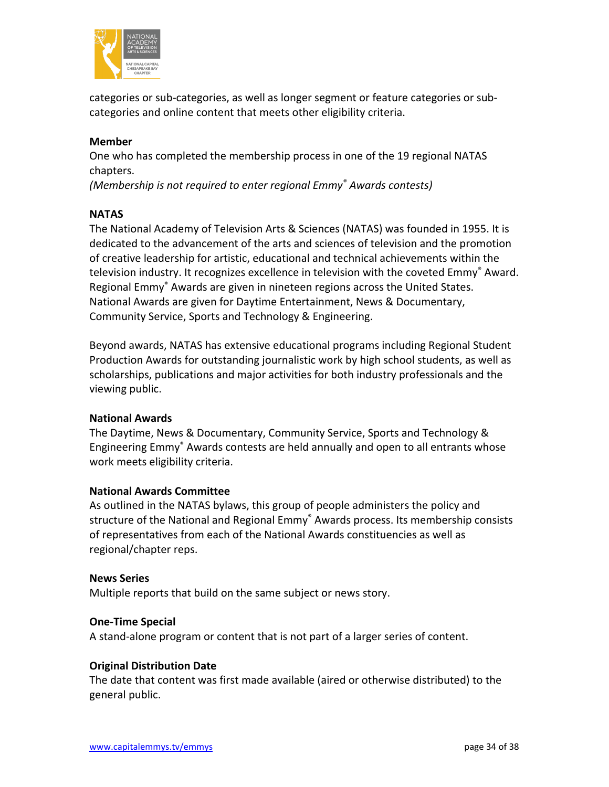

categories or sub-categories, as well as longer segment or feature categories or subcategories and online content that meets other eligibility criteria.

# **Member**

One who has completed the membership process in one of the 19 regional NATAS chapters.

*(Membership is not required to enter regional Emmy® Awards contests)*

# **NATAS**

The National Academy of Television Arts & Sciences (NATAS) was founded in 1955. It is dedicated to the advancement of the arts and sciences of television and the promotion of creative leadership for artistic, educational and technical achievements within the television industry. It recognizes excellence in television with the coveted Emmy<sup>®</sup> Award. Regional Emmy® Awards are given in nineteen regions across the United States. National Awards are given for Daytime Entertainment, News & Documentary, Community Service, Sports and Technology & Engineering.

Beyond awards, NATAS has extensive educational programs including Regional Student Production Awards for outstanding journalistic work by high school students, as well as scholarships, publications and major activities for both industry professionals and the viewing public.

# **National Awards**

The Daytime, News & Documentary, Community Service, Sports and Technology & Engineering Emmy® Awards contests are held annually and open to all entrants whose work meets eligibility criteria.

#### **National Awards Committee**

As outlined in the NATAS bylaws, this group of people administers the policy and structure of the National and Regional Emmy® Awards process. Its membership consists of representatives from each of the National Awards constituencies as well as regional/chapter reps.

#### **News Series**

Multiple reports that build on the same subject or news story.

#### **One-Time Special**

A stand-alone program or content that is not part of a larger series of content.

#### **Original Distribution Date**

The date that content was first made available (aired or otherwise distributed) to the general public.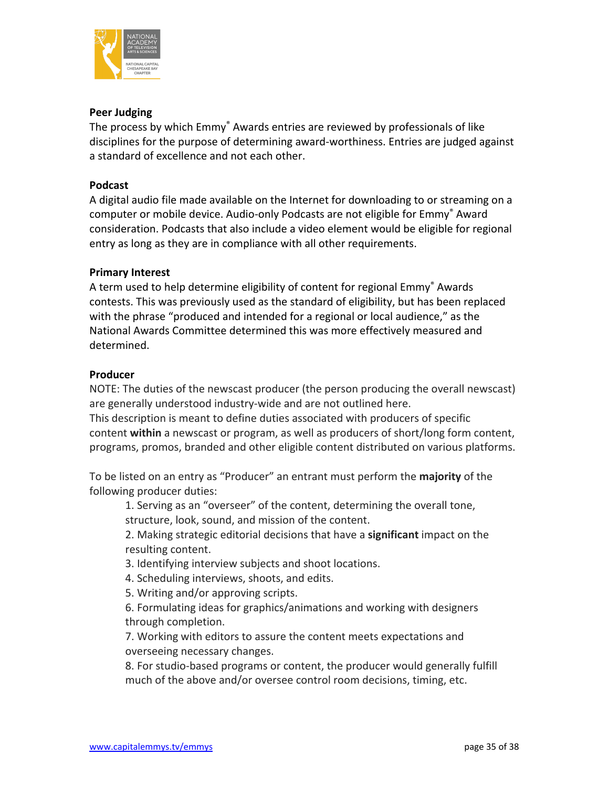

# **Peer Judging**

The process by which Emmy® Awards entries are reviewed by professionals of like disciplines for the purpose of determining award-worthiness. Entries are judged against a standard of excellence and not each other.

### **Podcast**

A digital audio file made available on the Internet for downloading to or streaming on a computer or mobile device. Audio-only Podcasts are not eligible for Emmy® Award consideration. Podcasts that also include a video element would be eligible for regional entry as long as they are in compliance with all other requirements.

# **Primary Interest**

A term used to help determine eligibility of content for regional Emmy<sup>®</sup> Awards contests. This was previously used as the standard of eligibility, but has been replaced with the phrase "produced and intended for a regional or local audience," as the National Awards Committee determined this was more effectively measured and determined.

### **Producer**

NOTE: The duties of the newscast producer (the person producing the overall newscast) are generally understood industry-wide and are not outlined here.

This description is meant to define duties associated with producers of specific content **within** a newscast or program, as well as producers of short/long form content, programs, promos, branded and other eligible content distributed on various platforms.

To be listed on an entry as "Producer" an entrant must perform the **majority** of the following producer duties:

1. Serving as an "overseer" of the content, determining the overall tone, structure, look, sound, and mission of the content.

2. Making strategic editorial decisions that have a **significant** impact on the resulting content.

- 3. Identifying interview subjects and shoot locations.
- 4. Scheduling interviews, shoots, and edits.
- 5. Writing and/or approving scripts.

6. Formulating ideas for graphics/animations and working with designers through completion.

7. Working with editors to assure the content meets expectations and overseeing necessary changes.

8. For studio-based programs or content, the producer would generally fulfill much of the above and/or oversee control room decisions, timing, etc.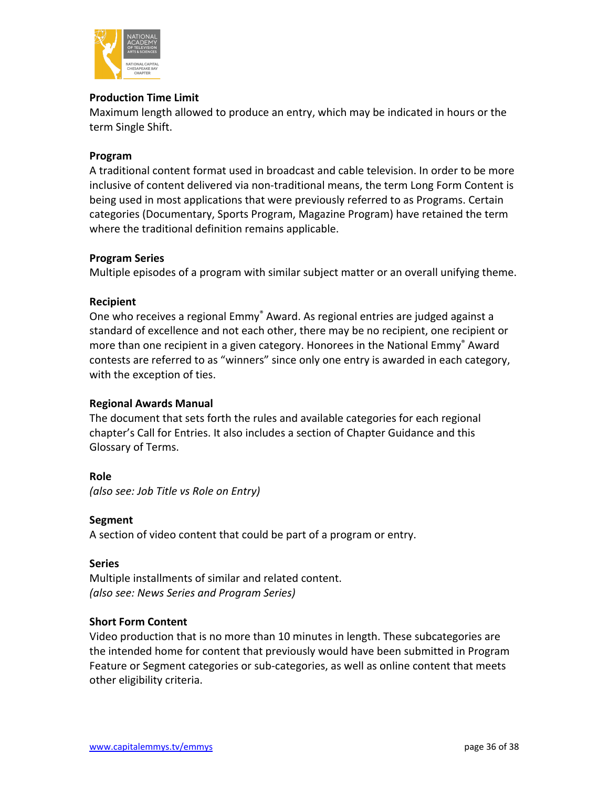

# **Production Time Limit**

Maximum length allowed to produce an entry, which may be indicated in hours or the term Single Shift.

#### **Program**

A traditional content format used in broadcast and cable television. In order to be more inclusive of content delivered via non-traditional means, the term Long Form Content is being used in most applications that were previously referred to as Programs. Certain categories (Documentary, Sports Program, Magazine Program) have retained the term where the traditional definition remains applicable.

#### **Program Series**

Multiple episodes of a program with similar subject matter or an overall unifying theme.

### **Recipient**

One who receives a regional Emmy® Award. As regional entries are judged against a standard of excellence and not each other, there may be no recipient, one recipient or more than one recipient in a given category. Honorees in the National Emmy<sup>®</sup> Award contests are referred to as "winners" since only one entry is awarded in each category, with the exception of ties.

# **Regional Awards Manual**

The document that sets forth the rules and available categories for each regional chapter's Call for Entries. It also includes a section of Chapter Guidance and this Glossary of Terms.

#### **Role**

*(also see: Job Title vs Role on Entry)*

#### **Segment**

A section of video content that could be part of a program or entry.

#### **Series**

Multiple installments of similar and related content. *(also see: News Series and Program Series)*

# **Short Form Content**

Video production that is no more than 10 minutes in length. These subcategories are the intended home for content that previously would have been submitted in Program Feature or Segment categories or sub-categories, as well as online content that meets other eligibility criteria.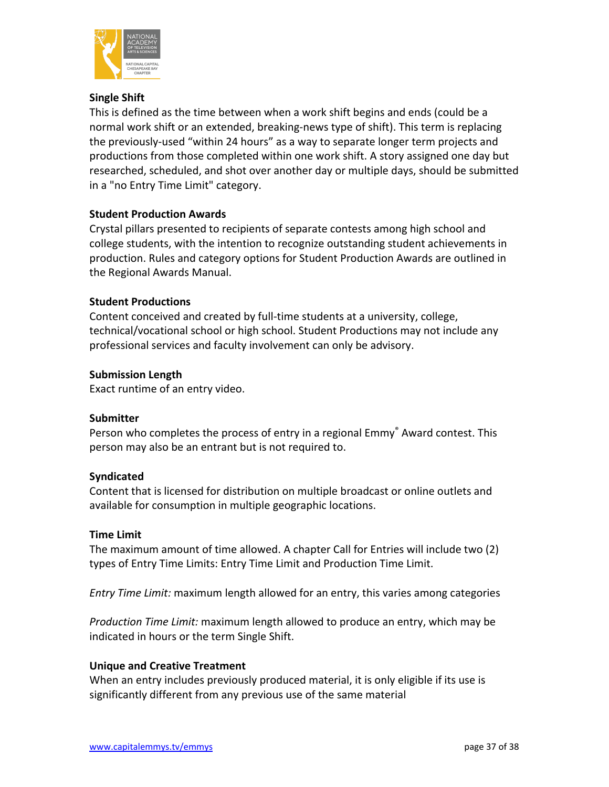

# **Single Shift**

This is defined as the time between when a work shift begins and ends (could be a normal work shift or an extended, breaking-news type of shift). This term is replacing the previously-used "within 24 hours" as a way to separate longer term projects and productions from those completed within one work shift. A story assigned one day but researched, scheduled, and shot over another day or multiple days, should be submitted in a "no Entry Time Limit" category.

### **Student Production Awards**

Crystal pillars presented to recipients of separate contests among high school and college students, with the intention to recognize outstanding student achievements in production. Rules and category options for Student Production Awards are outlined in the Regional Awards Manual.

### **Student Productions**

Content conceived and created by full-time students at a university, college, technical/vocational school or high school. Student Productions may not include any professional services and faculty involvement can only be advisory.

### **Submission Length**

Exact runtime of an entry video.

#### **Submitter**

Person who completes the process of entry in a regional Emmy<sup>®</sup> Award contest. This person may also be an entrant but is not required to.

#### **Syndicated**

Content that is licensed for distribution on multiple broadcast or online outlets and available for consumption in multiple geographic locations.

#### **Time Limit**

The maximum amount of time allowed. A chapter Call for Entries will include two (2) types of Entry Time Limits: Entry Time Limit and Production Time Limit.

*Entry Time Limit:* maximum length allowed for an entry, this varies among categories

*Production Time Limit:* maximum length allowed to produce an entry, which may be indicated in hours or the term Single Shift.

#### **Unique and Creative Treatment**

When an entry includes previously produced material, it is only eligible if its use is significantly different from any previous use of the same material